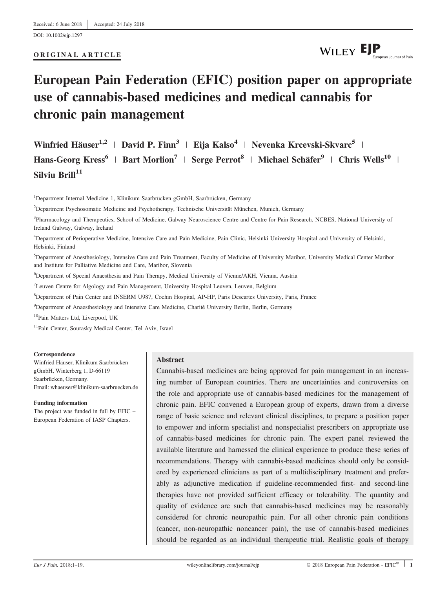DOI: 10.1002/ejp.1297

ORIGINAL ARTICLE

# WILEY EJP

## European Pain Federation (EFIC) position paper on appropriate use of cannabis‐based medicines and medical cannabis for chronic pain management

Winfried Häuser<sup>1,2</sup> | David P. Finn<sup>3</sup> | Eija Kalso<sup>4</sup> | Nevenka Krcevski-Skvarc<sup>5</sup> | Hans-Georg Kress<sup>6</sup> | Bart Morlion<sup>7</sup> | Serge Perrot<sup>8</sup> | Michael Schäfer<sup>9</sup> | Chris Wells<sup>10</sup> |  $Silvin$  Brill<sup>11</sup>

1 Department Internal Medicine 1, Klinikum Saarbrücken gGmbH, Saarbrücken, Germany

2 Department Psychosomatic Medicine and Psychotherapy, Technische Universität München, Munich, Germany

<sup>3</sup>Pharmacology and Therapeutics, School of Medicine, Galway Neuroscience Centre and Centre for Pain Research, NCBES, National University of Ireland Galway, Galway, Ireland

4 Department of Perioperative Medicine, Intensive Care and Pain Medicine, Pain Clinic, Helsinki University Hospital and University of Helsinki, Helsinki, Finland

5 Department of Anesthesiology, Intensive Care and Pain Treatment, Faculty of Medicine of University Maribor, University Medical Center Maribor and Institute for Palliative Medicine and Care, Maribor, Slovenia

6 Department of Special Anaesthesia and Pain Therapy, Medical University of Vienne/AKH, Vienna, Austria

<sup>7</sup>Leuven Centre for Algology and Pain Management, University Hospital Leuven, Leuven, Belgium

8 Department of Pain Center and INSERM U987, Cochin Hospital, AP-HP, Paris Descartes University, Paris, France

9 Department of Anaesthesiology and Intensive Care Medicine, Charité University Berlin, Berlin, Germany

10Pain Matters Ltd, Liverpool, UK

<sup>11</sup>Pain Center, Sourasky Medical Center, Tel Aviv, Israel

#### Correspondence

Winfried Häuser, Klinikum Saarbrücken gGmbH, Winterberg 1, D-66119 Saarbrücken, Germany. Email: [whaeuser@klinikum-saarbruecken.de](mailto:)

#### Funding information

The project was funded in full by EFIC – European Federation of IASP Chapters.

#### Abstract

Cannabis‐based medicines are being approved for pain management in an increasing number of European countries. There are uncertainties and controversies on the role and appropriate use of cannabis‐based medicines for the management of chronic pain. EFIC convened a European group of experts, drawn from a diverse range of basic science and relevant clinical disciplines, to prepare a position paper to empower and inform specialist and nonspecialist prescribers on appropriate use of cannabis‐based medicines for chronic pain. The expert panel reviewed the available literature and harnessed the clinical experience to produce these series of recommendations. Therapy with cannabis‐based medicines should only be considered by experienced clinicians as part of a multidisciplinary treatment and preferably as adjunctive medication if guideline‐recommended first‐ and second‐line therapies have not provided sufficient efficacy or tolerability. The quantity and quality of evidence are such that cannabis‐based medicines may be reasonably considered for chronic neuropathic pain. For all other chronic pain conditions (cancer, non‐neuropathic noncancer pain), the use of cannabis‐based medicines should be regarded as an individual therapeutic trial. Realistic goals of therapy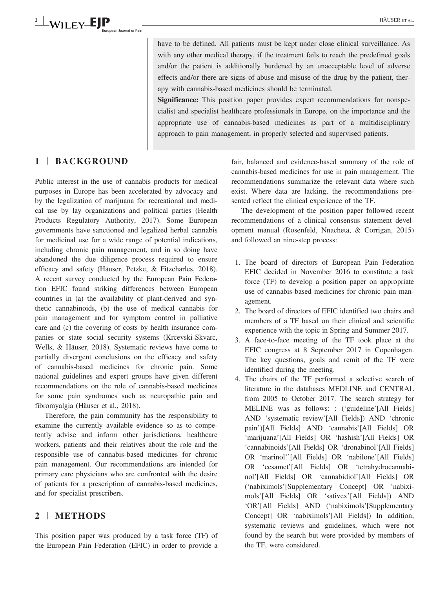have to be defined. All patients must be kept under close clinical surveillance. As with any other medical therapy, if the treatment fails to reach the predefined goals and/or the patient is additionally burdened by an unacceptable level of adverse effects and/or there are signs of abuse and misuse of the drug by the patient, therapy with cannabis‐based medicines should be terminated.

Significance: This position paper provides expert recommendations for nonspecialist and specialist healthcare professionals in Europe, on the importance and the appropriate use of cannabis‐based medicines as part of a multidisciplinary approach to pain management, in properly selected and supervised patients.

## 1 | BACKGROUND

Public interest in the use of cannabis products for medical purposes in Europe has been accelerated by advocacy and by the legalization of marijuana for recreational and medical use by lay organizations and political parties (Health Products Regulatory Authority, 2017). Some European governments have sanctioned and legalized herbal cannabis for medicinal use for a wide range of potential indications, including chronic pain management, and in so doing have abandoned the due diligence process required to ensure efficacy and safety (Häuser, Petzke, & Fitzcharles, 2018). A recent survey conducted by the European Pain Federation EFIC found striking differences between European countries in (a) the availability of plant-derived and synthetic cannabinoids, (b) the use of medical cannabis for pain management and for symptom control in palliative care and (c) the covering of costs by health insurance companies or state social security systems (Krcevski‐Skvarc, Wells, & Häuser, 2018). Systematic reviews have come to partially divergent conclusions on the efficacy and safety of cannabis‐based medicines for chronic pain. Some national guidelines and expert groups have given different recommendations on the role of cannabis‐based medicines for some pain syndromes such as neuropathic pain and fibromyalgia (Häuser et al., 2018).

Therefore, the pain community has the responsibility to examine the currently available evidence so as to competently advise and inform other jurisdictions, healthcare workers, patients and their relatives about the role and the responsible use of cannabis‐based medicines for chronic pain management. Our recommendations are intended for primary care physicians who are confronted with the desire of patients for a prescription of cannabis‐based medicines, and for specialist prescribers.

## 2 | METHODS

This position paper was produced by a task force (TF) of the European Pain Federation (EFIC) in order to provide a fair, balanced and evidence-based summary of the role of cannabis‐based medicines for use in pain management. The recommendations summarize the relevant data where such exist. Where data are lacking, the recommendations presented reflect the clinical experience of the TF.

The development of the position paper followed recent recommendations of a clinical consensus statement development manual (Rosenfeld, Nnacheta, & Corrigan, 2015) and followed an nine‐step process:

- 1. The board of directors of European Pain Federation EFIC decided in November 2016 to constitute a task force (TF) to develop a position paper on appropriate use of cannabis-based medicines for chronic pain management.
- 2. The board of directors of EFIC identified two chairs and members of a TF based on their clinical and scientific experience with the topic in Spring and Summer 2017.
- 3. A face-to-face meeting of the TF took place at the EFIC congress at 8 September 2017 in Copenhagen. The key questions, goals and remit of the TF were identified during the meeting.
- 4. The chairs of the TF performed a selective search of literature in the databases MEDLINE and CENTRAL from 2005 to October 2017. The search strategy for MELINE was as follows: : ('guideline'[All Fields] AND 'systematic review'[All Fields]) AND 'chronic pain')[All Fields] AND 'cannabis'[All Fields] OR 'marijuana'[All Fields] OR 'hashish'[All Fields] OR 'cannabinoids'[All Fields] OR 'dronabinol'[All Fields] OR 'marinol''[All Fields] OR 'nabilone'[All Fields] OR 'cesamet'[All Fields] OR 'tetrahydrocannabinol'[All Fields] OR 'cannabidiol'[All Fields] OR ('nabiximols'[Supplementary Concept] OR 'nabiximols'[All Fields] OR 'sativex'[All Fields]) AND 'OR'[All Fields] AND ('nabiximols'[Supplementary Concept] OR 'nabiximols'[All Fields]) In addition, systematic reviews and guidelines, which were not found by the search but were provided by members of the TF, were considered.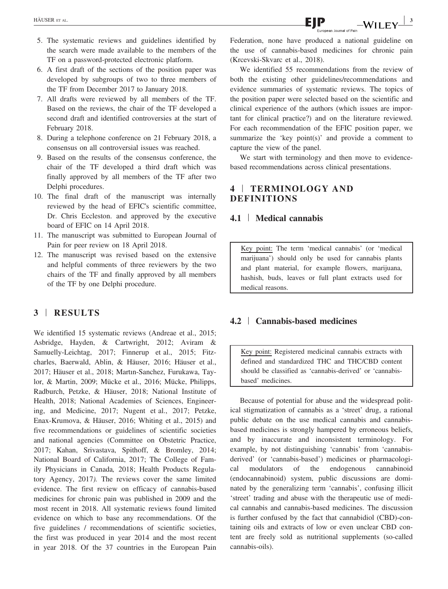- 5. The systematic reviews and guidelines identified by the search were made available to the members of the TF on a password-protected electronic platform.
- 6. A first draft of the sections of the position paper was developed by subgroups of two to three members of the TF from December 2017 to January 2018.
- 7. All drafts were reviewed by all members of the TF. Based on the reviews, the chair of the TF developed a second draft and identified controversies at the start of February 2018.
- 8. During a telephone conference on 21 February 2018, a consensus on all controversial issues was reached.
- 9. Based on the results of the consensus conference, the chair of the TF developed a third draft which was finally approved by all members of the TF after two Delphi procedures.
- 10. The final draft of the manuscript was internally reviewed by the head of EFIC's scientific committee, Dr. Chris Eccleston. and approved by the executive board of EFIC on 14 April 2018.
- 11. The manuscript was submitted to European Journal of Pain for peer review on 18 April 2018.
- 12. The manuscript was revised based on the extensive and helpful comments of three reviewers by the two chairs of the TF and finally approved by all members of the TF by one Delphi procedure.

## 3 | RESULTS

We identified 15 systematic reviews (Andreae et al., 2015; Asbridge, Hayden, & Cartwright, 2012; Aviram & Samuelly-Leichtag, 2017; Finnerup et al., 2015; Fitzcharles, Baerwald, Ablin, & Häuser, 2016; Häuser et al., 2017; Häuser et al., 2018; Martın‐Sanchez, Furukawa, Taylor, & Martin, 2009; Mücke et al., 2016; Mücke, Philipps, Radburch, Petzke, & Häuser, 2018; National Institute of Health, 2018; National Academies of Sciences, Engineering, and Medicine, 2017; Nugent et al., 2017; Petzke, Enax‐Krumova, & Häuser, 2016; Whiting et al., 2015) and five recommendations or guidelines of scientific societies and national agencies (Committee on Obstetric Practice, 2017; Kahan, Srivastava, Spithoff, & Bromley, 2014; National Board of California, 2017; The College of Family Physicians in Canada, 2018; Health Products Regulatory Agency, 2017). The reviews cover the same limited evidence. The first review on efficacy of cannabis‐based medicines for chronic pain was published in 2009 and the most recent in 2018. All systematic reviews found limited evidence on which to base any recommendations. Of the five guidelines / recommendations of scientific societies, the first was produced in year 2014 and the most recent in year 2018. Of the 37 countries in the European Pain Federation, none have produced a national guideline on the use of cannabis‐based medicines for chronic pain (Krcevski‐Skvarc et al., 2018).

We identified 55 recommendations from the review of both the existing other guidelines/recommendations and evidence summaries of systematic reviews. The topics of the position paper were selected based on the scientific and clinical experience of the authors (which issues are important for clinical practice?) and on the literature reviewed. For each recommendation of the EFIC position paper, we summarize the 'key point(s)' and provide a comment to capture the view of the panel.

We start with terminology and then move to evidencebased recommendations across clinical presentations.

## 4 | TERMINOLOGY AND DEFINITIONS

#### 4.1 | Medical cannabis

Key point: The term 'medical cannabis' (or 'medical marijuana') should only be used for cannabis plants and plant material, for example flowers, marijuana, hashish, buds, leaves or full plant extracts used for medical reasons.

## 4.2 <sup>|</sup> Cannabis‐based medicines

Key point: Registered medicinal cannabis extracts with defined and standardized THC and THC/CBD content should be classified as 'cannabis‐derived' or 'cannabis‐ based' medicines.

Because of potential for abuse and the widespread political stigmatization of cannabis as a 'street' drug, a rational public debate on the use medical cannabis and cannabis‐ based medicines is strongly hampered by erroneous beliefs, and by inaccurate and inconsistent terminology. For example, by not distinguishing 'cannabis' from 'cannabis‐ derived' (or 'cannabis‐based') medicines or pharmacological modulators of the endogenous cannabinoid (endocannabinoid) system, public discussions are dominated by the generalizing term 'cannabis', confusing illicit 'street' trading and abuse with the therapeutic use of medical cannabis and cannabis‐based medicines. The discussion is further confused by the fact that cannabidiol (CBD)‐containing oils and extracts of low or even unclear CBD content are freely sold as nutritional supplements (so-called cannabis‐oils).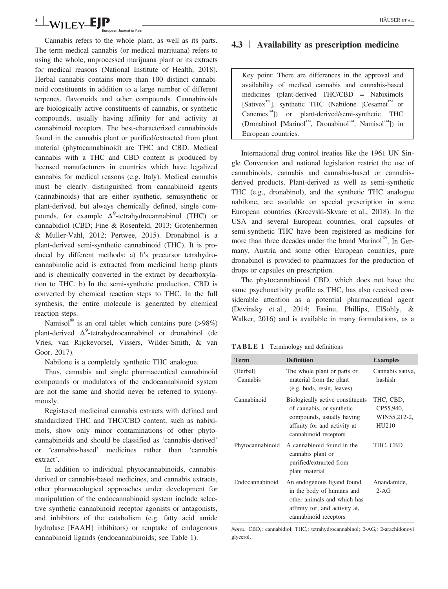#### <sup>4</sup> <sup>|</sup> HÄUSER ET AL.an Journal of Pain

Cannabis refers to the whole plant, as well as its parts. The term medical cannabis (or medical marijuana) refers to using the whole, unprocessed marijuana plant or its extracts for medical reasons (National Institute of Health, 2018). Herbal cannabis contains more than 100 distinct cannabinoid constituents in addition to a large number of different terpenes, flavonoids and other compounds. Cannabinoids are biologically active constituents of cannabis, or synthetic compounds, usually having affinity for and activity at cannabinoid receptors. The best‐characterized cannabinoids found in the cannabis plant or purified/extracted from plant material (phytocannabinoid) are THC and CBD. Medical cannabis with a THC and CBD content is produced by licensed manufacturers in countries which have legalized cannabis for medical reasons (e.g. Italy). Medical cannabis must be clearly distinguished from cannabinoid agents (cannabinoids) that are either synthetic, semisynthetic or plant‐derived, but always chemically defined, single compounds, for example  $\Delta^9$ -tetrahydrocannabinol (THC) or cannabidiol (CBD; Fine & Rosenfeld, 2013; Grotenhermen & Muller‐Vahl, 2012; Pertwee, 2015). Dronabinol is a plant‐derived semi‐synthetic cannabinoid (THC). It is produced by different methods: a) It's precursor tetrahydrocannabinolic acid is extracted from medicinal hemp plants and is chemically converted in the extract by decarboxylation to THC. b) In the semi‐synthetic production, CBD is converted by chemical reaction steps to THC. In the full synthesis, the entire molecule is generated by chemical reaction steps.

Namisol<sup>®</sup> is an oral tablet which contains pure (>98%) plant-derived  $\Delta^9$ -tetrahydrocannabinol or dronabinol (de Vries, van Rijckevorsel, Vissers, Wilder‐Smith, & van Goor, 2017).

Nabilone is a completely synthetic THC analogue.

Thus, cannabis and single pharmaceutical cannabinoid compounds or modulators of the endocannabinoid system are not the same and should never be referred to synonymously.

Registered medicinal cannabis extracts with defined and standardized THC and THC/CBD content, such as nabiximols, show only minor contaminations of other phytocannabinoids and should be classified as 'cannabis‐derived' or 'cannabis‐based' medicines rather than 'cannabis extract'.

In addition to individual phytocannabinoids, cannabisderived or cannabis‐based medicines, and cannabis extracts, other pharmacological approaches under development for manipulation of the endocannabinoid system include selective synthetic cannabinoid receptor agonists or antagonists, and inhibitors of the catabolism (e.g. fatty acid amide hydrolase [FAAH] inhibitors) or reuptake of endogenous cannabinoid ligands (endocannabinoids; see Table 1).

## 4.3 | Availability as prescription medicine

Key point: There are differences in the approval and availability of medical cannabis and cannabis‐based medicines (plant‐derived THC/CBD = Nabiximols  $[Sativex<sup>TM</sup>]$ , synthetic THC (Nabilone  $[Cesame<sup>TM</sup>]$  or Canemes™]) or plant‐derived/semi‐synthetic THC (Dronabinol [Marinol™, Dronabinol™, Namisol™]) in European countries.

International drug control treaties like the 1961 UN Single Convention and national legislation restrict the use of cannabinoids, cannabis and cannabis‐based or cannabis‐ derived products. Plant‐derived as well as semi‐synthetic THC (e.g., dronabinol), and the synthetic THC analogue nabilone, are available on special prescription in some European countries (Krcevski‐Skvarc et al., 2018). In the USA and several European countries, oral capsules of semi‐synthetic THC have been registered as medicine for more than three decades under the brand Marinol™. In Germany, Austria and some other European countries, pure dronabinol is provided to pharmacies for the production of drops or capsules on prescription.

The phytocannabinoid CBD, which does not have the same psychoactivity profile as THC, has also received considerable attention as a potential pharmaceutical agent (Devinsky et al., 2014; Fasinu, Phillips, ElSohly, & Walker, 2016) and is available in many formulations, as a

TABLE 1 Terminology and definitions

| <b>Term</b>          | <b>Definition</b>                                                                                                                                   | <b>Examples</b>                                 |
|----------------------|-----------------------------------------------------------------------------------------------------------------------------------------------------|-------------------------------------------------|
| (Herbal)<br>Cannabis | The whole plant or parts or<br>material from the plant<br>(e.g. buds, resin, leaves)                                                                | Cannabis sativa,<br>hashish                     |
| Cannabinoid          | Biologically active constituents<br>of cannabis, or synthetic<br>compounds, usually having<br>affinity for and activity at<br>cannabinoid receptors | THC, CBD,<br>CP55,940,<br>WIN55,212-2,<br>HU210 |
| Phytocannabinoid     | A cannabinoid found in the<br>cannabis plant or<br>purified/extracted from<br>plant material                                                        | THC, CBD                                        |
| Endocannabinoid      | An endogenous ligand found<br>in the body of humans and<br>other animals and which has<br>affinity for, and activity at,<br>cannabinoid receptors   | Anandamide,<br>$2-AG$                           |

Notes. CBD,: cannabidiol; THC,: tetrahydrocannabinol; 2‐AG,: 2‐arachidonoyl glycerol.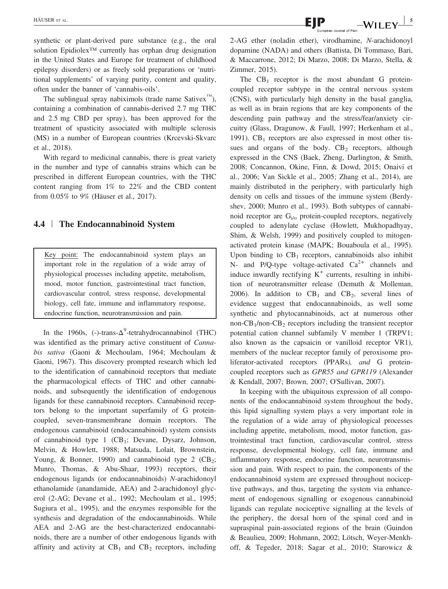synthetic or plant‐derived pure substance (e.g., the oral solution Epidiolex<sup>™</sup> currently has orphan drug designation in the United States and Europe for treatment of childhood epilepsy disorders) or as freely sold preparations or 'nutritional supplements' of varying purity, content and quality, often under the banner of 'cannabis‐oils'.

The sublingual spray nabiximols (trade name Sativex $\mathbb{R}^m$ ), containing a combination of cannabis‐derived 2.7 mg THC and 2.5 mg CBD per spray), has been approved for the treatment of spasticity associated with multiple sclerosis (MS) in a number of European countries (Krcevski‐Skvarc et al., 2018).

With regard to medicinal cannabis, there is great variety in the number and type of cannabis strains which can be prescribed in different European countries, with the THC content ranging from 1% to 22% and the CBD content from 0.05% to 9% (Häuser et al., 2017).

#### 4.4 | The Endocannabinoid System

Key point: The endocannabinoid system plays an important role in the regulation of a wide array of physiological processes including appetite, metabolism, mood, motor function, gastrointestinal tract function, cardiovascular control, stress response, developmental biology, cell fate, immune and inflammatory response, endocrine function, neurotransmission and pain.

In the 1960s, (-)-trans- $\Delta^9$ -tetrahydrocannabinol (THC) was identified as the primary active constituent of Cannabis sativa (Gaoni & Mechoulam, 1964; Mechoulam & Gaoni, 1967). This discovery prompted research which led to the identification of cannabinoid receptors that mediate the pharmacological effects of THC and other cannabinoids, and subsequently the identification of endogenous ligands for these cannabinoid receptors. Cannabinoid receptors belong to the important superfamily of G proteincoupled, seven‐transmembrane domain receptors. The endogenous cannabinoid (endocannabinoid) system consists of cannabinoid type 1  $(CB_1;$  Devane, Dysarz, Johnson, Melvin, & Howlett, 1988; Matsuda, Lolait, Brownstein, Young, & Bonner, 1990) and cannabinoid type 2  $(CB_2;$ Munro, Thomas, & Abu‐Shaar, 1993) receptors, their endogenous ligands (or endocannabinoids) N-arachidonoyl ethanolamide (anandamide, AEA) and 2‐arachidonoyl glycerol (2‐AG; Devane et al., 1992; Mechoulam et al., 1995; Sugiura et al., 1995), and the enzymes responsible for the synthesis and degradation of the endocannabinoids. While AEA and 2-AG are the best-characterized endocannabinoids, there are a number of other endogenous ligands with affinity and activity at  $CB_1$  and  $CB_2$  receptors, including

 $HÄUSERE ET AL.$   $\blacksquare$   $\blacksquare$   $\blacksquare$   $\blacksquare$   $\blacksquare$   $\blacksquare$   $\blacksquare$   $\blacksquare$   $\blacksquare$   $\blacksquare$   $\blacksquare$   $\blacksquare$   $\blacksquare$   $\blacksquare$   $\blacksquare$   $\blacksquare$   $\blacksquare$   $\blacksquare$   $\blacksquare$   $\blacksquare$   $\blacksquare$   $\blacksquare$   $\blacksquare$   $\blacksquare$   $\blacksquare$   $\blacksquare$   $\blacksquare$   $\blacksquare$   $\blacksquare$   $\blacksquare$ 

2‐AG ether (noladin ether), virodhamine, N‐arachidonoyl dopamine (NADA) and others (Battista, Di Tommaso, Bari, & Maccarrone, 2012; Di Marzo, 2008; Di Marzo, Stella, & Zimmer, 2015).

The  $CB_1$  receptor is the most abundant G proteincoupled receptor subtype in the central nervous system (CNS), with particularly high density in the basal ganglia, as well as in brain regions that are key components of the descending pain pathway and the stress/fear/anxiety circuitry (Glass, Dragunow, & Faull, 1997; Herkenham et al., 1991).  $CB_1$  receptors are also expressed in most other tissues and organs of the body.  $CB<sub>2</sub>$  receptors, although expressed in the CNS (Baek, Zheng, Darlington, & Smith, 2008; Concannon, Okine, Finn, & Dowd, 2015; Onaivi et al., 2006; Van Sickle et al., 2005; Zhang et al., 2014), are mainly distributed in the periphery, with particularly high density on cells and tissues of the immune system (Berdyshev, 2000; Munro et al., 1993). Both subtypes of cannabinoid receptor are  $G<sub>i/o</sub>$  protein-coupled receptors, negatively coupled to adenylate cyclase (Howlett, Mukhopadhyay, Shim, & Welsh, 1999) and positively coupled to mitogenactivated protein kinase (MAPK; Bouaboula et al., 1995). Upon binding to  $CB_1$  receptors, cannabinoids also inhibit N- and P/Q-type voltage-activated  $Ca^{2+}$  channels and induce inwardly rectifying  $K^+$  currents, resulting in inhibition of neurotransmitter release (Demuth & Molleman, 2006). In addition to  $CB_1$  and  $CB_2$ , several lines of evidence suggest that endocannabinoids, as well some synthetic and phytocannabinoids, act at numerous other non- $CB_1$ /non- $CB_2$  receptors including the transient receptor potential cation channel subfamily V member 1 (TRPV1; also known as the capsaicin or vanilloid receptor VR1), members of the nuclear receptor family of peroxisome proliferator-activated receptors (PPARs), and G proteincoupled receptors such as GPR55 and GPR119 (Alexander & Kendall, 2007; Brown, 2007; O'Sullivan, 2007).

In keeping with the ubiquitous expression of all components of the endocannabinoid system throughout the body, this lipid signalling system plays a very important role in the regulation of a wide array of physiological processes including appetite, metabolism, mood, motor function, gastrointestinal tract function, cardiovascular control, stress response, developmental biology, cell fate, immune and inflammatory response, endocrine function, neurotransmission and pain. With respect to pain, the components of the endocannabinoid system are expressed throughout nociceptive pathways, and thus, targeting the system via enhancement of endogenous signalling or exogenous cannabinoid ligands can regulate nociceptive signalling at the levels of the periphery, the dorsal horn of the spinal cord and in supraspinal pain‐associated regions of the brain (Guindon & Beaulieu, 2009; Hohmann, 2002; Lötsch, Weyer‐Menkhoff, & Tegeder, 2018; Sagar et al., 2010; Starowicz &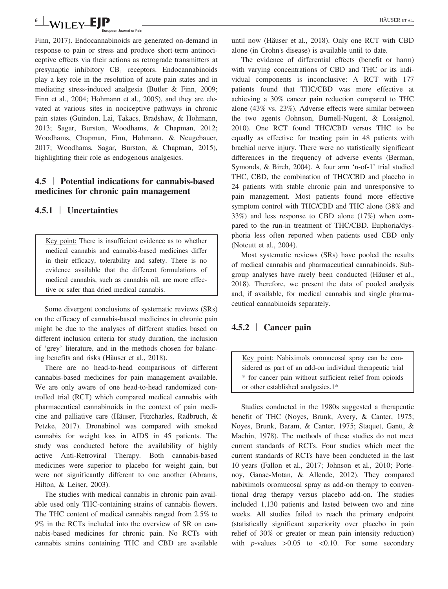## $\overset{\text{\normalsize{6}}}{{\sim}}$  WILEY-EJP  $\qquad \qquad$   $\qquad \qquad$   $\qquad$   $\qquad \qquad$   $\qquad$   $\qquad$   $\qquad$   $\qquad$   $\qquad$   $\qquad$   $\qquad$   $\qquad$   $\qquad$   $\qquad$   $\qquad$   $\qquad$   $\qquad$   $\qquad$   $\qquad$   $\qquad$   $\qquad$   $\qquad$   $\qquad$   $\qquad$   $\qquad$   $\qquad$   $\qquad$   $\qquad$   $\qquad$   $\qquad$   $\q$

Finn, 2017). Endocannabinoids are generated on‐demand in response to pain or stress and produce short‐term antinociceptive effects via their actions as retrograde transmitters at presynaptic inhibitory  $CB_1$  receptors. Endocannabinoids play a key role in the resolution of acute pain states and in mediating stress‐induced analgesia (Butler & Finn, 2009; Finn et al., 2004; Hohmann et al., 2005), and they are elevated at various sites in nociceptive pathways in chronic pain states (Guindon, Lai, Takacs, Bradshaw, & Hohmann, 2013; Sagar, Burston, Woodhams, & Chapman, 2012; Woodhams, Chapman, Finn, Hohmann, & Neugebauer, 2017; Woodhams, Sagar, Burston, & Chapman, 2015), highlighting their role as endogenous analgesics.

## 4.5 <sup>|</sup> Potential indications for cannabis‐based medicines for chronic pain management

## 4.5.1 | Uncertainties

Key point: There is insufficient evidence as to whether medical cannabis and cannabis‐based medicines differ in their efficacy, tolerability and safety. There is no evidence available that the different formulations of medical cannabis, such as cannabis oil, are more effective or safer than dried medical cannabis.

Some divergent conclusions of systematic reviews (SRs) on the efficacy of cannabis‐based medicines in chronic pain might be due to the analyses of different studies based on different inclusion criteria for study duration, the inclusion of 'grey' literature, and in the methods chosen for balancing benefits and risks (Häuser et al., 2018).

There are no head-to-head comparisons of different cannabis‐based medicines for pain management available. We are only aware of one head-to-head randomized controlled trial (RCT) which compared medical cannabis with pharmaceutical cannabinoids in the context of pain medicine and palliative care (Häuser, Fitzcharles, Radbruch, & Petzke, 2017). Dronabinol was compared with smoked cannabis for weight loss in AIDS in 45 patients. The study was conducted before the availability of highly active Anti‐Retroviral Therapy. Both cannabis‐based medicines were superior to placebo for weight gain, but were not significantly different to one another (Abrams, Hilton, & Leiser, 2003).

The studies with medical cannabis in chronic pain available used only THC‐containing strains of cannabis flowers. The THC content of medical cannabis ranged from 2.5% to 9% in the RCTs included into the overview of SR on cannabis‐based medicines for chronic pain. No RCTs with cannabis strains containing THC and CBD are available until now (Häuser et al., 2018). Only one RCT with CBD alone (in Crohn's disease) is available until to date.

The evidence of differential effects (benefit or harm) with varying concentrations of CBD and THC or its individual components is inconclusive: A RCT with 177 patients found that THC/CBD was more effective at achieving a 30% cancer pain reduction compared to THC alone (43% vs. 23%). Adverse effects were similar between the two agents (Johnson, Burnell‐Nugent, & Lossignol, 2010). One RCT found THC/CBD versus THC to be equally as effective for treating pain in 48 patients with brachial nerve injury. There were no statistically significant differences in the frequency of adverse events (Berman, Symonds, & Birch, 2004). A four arm 'n‐of‐1' trial studied THC, CBD, the combination of THC/CBD and placebo in 24 patients with stable chronic pain and unresponsive to pain management. Most patients found more effective symptom control with THC/CBD and THC alone (38% and 33%) and less response to CBD alone (17%) when compared to the run-in treatment of THC/CBD. Euphoria/dysphoria less often reported when patients used CBD only (Notcutt et al., 2004).

Most systematic reviews (SRs) have pooled the results of medical cannabis and pharmaceutical cannabinoids. Subgroup analyses have rarely been conducted (Häuser et al., 2018). Therefore, we present the data of pooled analysis and, if available, for medical cannabis and single pharmaceutical cannabinoids separately.

## 4.5.2 | Cancer pain

Key point: Nabiximols oromucosal spray can be considered as part of an add‐on individual therapeutic trial \* for cancer pain without sufficient relief from opioids or other established analgesics.1\*

Studies conducted in the 1980s suggested a therapeutic benefit of THC (Noyes, Brunk, Avery, & Canter, 1975; Noyes, Brunk, Baram, & Canter, 1975; Staquet, Gantt, & Machin, 1978). The methods of these studies do not meet current standards of RCTs. Four studies which meet the current standards of RCTs have been conducted in the last 10 years (Fallon et al., 2017; Johnson et al., 2010; Portenoy, Ganae‐Motan, & Allende, 2012). They compared nabiximols oromucosal spray as add‐on therapy to conventional drug therapy versus placebo add‐on. The studies included 1,130 patients and lasted between two and nine weeks. All studies failed to reach the primary endpoint (statistically significant superiority over placebo in pain relief of 30% or greater or mean pain intensity reduction) with *p*-values  $>0.05$  to <0.10. For some secondary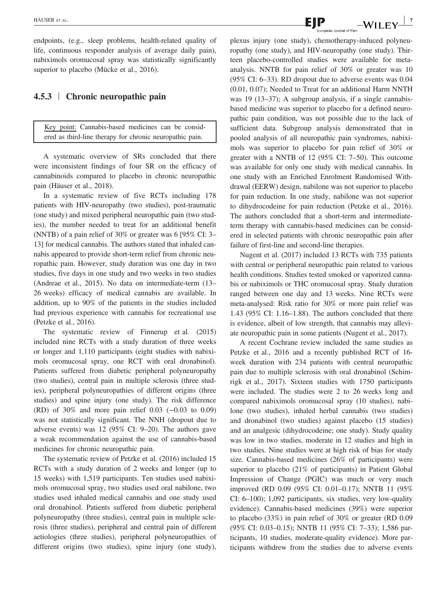endpoints, (e.g., sleep problems, health-related quality of life, continuous responder analysis of average daily pain), nabiximols oromucosal spray was statistically significantly superior to placebo (Mücke et al., 2016).

#### 4.5.3 | Chronic neuropathic pain

Key point: Cannabis‐based medicines can be considered as third‐line therapy for chronic neuropathic pain.

A systematic overview of SRs concluded that there were inconsistent findings of four SR on the efficacy of cannabinoids compared to placebo in chronic neuropathic pain (Häuser et al., 2018).

In a systematic review of five RCTs including 178 patients with HIV-neuropathy (two studies), post-traumatic (one study) and mixed peripheral neuropathic pain (two studies), the number needed to treat for an additional benefit (NNTB) of a pain relief of 30% or greater was 6 [95% CI: 3– 13] for medical cannabis. The authors stated that inhaled cannabis appeared to provide short‐term relief from chronic neuropathic pain. However, study duration was one day in two studies, five days in one study and two weeks in two studies (Andreae et al., 2015). No data on intermediate‐term (13– 26 weeks) efficacy of medical cannabis are available. In addition, up to 90% of the patients in the studies included had previous experience with cannabis for recreational use (Petzke et al., 2016).

The systematic review of Finnerup et al. (2015) included nine RCTs with a study duration of three weeks or longer and 1,110 participants (eight studies with nabiximols oromucosal spray, one RCT with oral dronabinol). Patients suffered from diabetic peripheral polyneuropathy (two studies), central pain in multiple sclerosis (three studies), peripheral polyneuropathies of different origins (three studies) and spine injury (one study). The risk difference (RD) of 30% and more pain relief 0.03 (−0.03 to 0.09) was not statistically significant. The NNH (dropout due to adverse events) was 12 (95% CI: 9–20). The authors gave a weak recommendation against the use of cannabis‐based medicines for chronic neuropathic pain.

The systematic review of Petzke et al. (2016) included 15 RCTs with a study duration of 2 weeks and longer (up to 15 weeks) with 1,519 participants. Ten studies used nabiximols oromucosal spray, two studies used oral nabilone, two studies used inhaled medical cannabis and one study used oral dronabinol. Patients suffered from diabetic peripheral polyneuropathy (three studies), central pain in multiple sclerosis (three studies), peripheral and central pain of different aetiologies (three studies), peripheral polyneuropathies of different origins (two studies), spine injury (one study), plexus injury (one study), chemotherapy‐induced polyneuropathy (one study), and HIV‐neuropathy (one study). Thirteen placebo-controlled studies were available for metaanalysis. NNTB for pain relief of 30% or greater was 10 (95% CI: 6–33). RD dropout due to adverse events was 0.04 (0.01, 0.07); Needed to Treat for an additional Harm NNTH was 19 (13–37); A subgroup analysis, if a single cannabisbased medicine was superior to placebo for a defined neuropathic pain condition, was not possible due to the lack of sufficient data. Subgroup analysis demonstrated that in pooled analysis of all neuropathic pain syndromes, nabiximols was superior to placebo for pain relief of 30% or greater with a NNTB of 12 (95% CI: 7–50). This outcome was available for only one study with medical cannabis. In one study with an Enriched Enrolment Randomised Withdrawal (EERW) design, nabilone was not superior to placebo for pain reduction. In one study, nabilone was not superior to dihydrocodeine for pain reduction (Petzke et al., 2016). The authors concluded that a short-term and intermediateterm therapy with cannabis‐based medicines can be considered in selected patients with chronic neuropathic pain after failure of first-line and second-line therapies.

Nugent et al. (2017) included 13 RCTs with 735 patients with central or peripheral neuropathic pain related to various health conditions. Studies tested smoked or vaporized cannabis or nabiximols or THC oromucosal spray. Study duration ranged between one day and 13 weeks. Nine RCTs were meta‐analysed: Risk ratio for 30% or more pain relief was 1.43 (95% CI: 1.16–1.88). The authors concluded that there is evidence, albeit of low strength, that cannabis may alleviate neuropathic pain in some patients (Nugent et al., 2017).

A recent Cochrane review included the same studies as Petzke et al., 2016 and a recently published RCT of 16‐ week duration with 234 patients with central neuropathic pain due to multiple sclerosis with oral dronabinol (Schimrigk et al., 2017). Sixteen studies with 1750 participants were included. The studies were 2 to 26 weeks long and compared nabiximols oromucosal spray (10 studies), nabilone (two studies), inhaled herbal cannabis (two studies) and dronabinol (two studies) against placebo (15 studies) and an analgesic (dihydrocodeine; one study). Study quality was low in two studies, moderate in 12 studies and high in two studies. Nine studies were at high risk of bias for study size. Cannabis-based medicines (26% of participants) were superior to placebo (21% of participants) in Patient Global Impression of Change (PGIC) was much or very much improved (RD 0.09 (95% CI: 0.01–0.17); NNTB 11 (95% CI: 6–100); 1,092 participants, six studies, very low‐quality evidence). Cannabis‐based medicines (39%) were superior to placebo (33%) in pain relief of 30% or greater (RD 0.09 (95% CI: 0.03–0.15); NNTB 11 (95% CI: 7–33); 1,586 participants, 10 studies, moderate‐quality evidence). More participants withdrew from the studies due to adverse events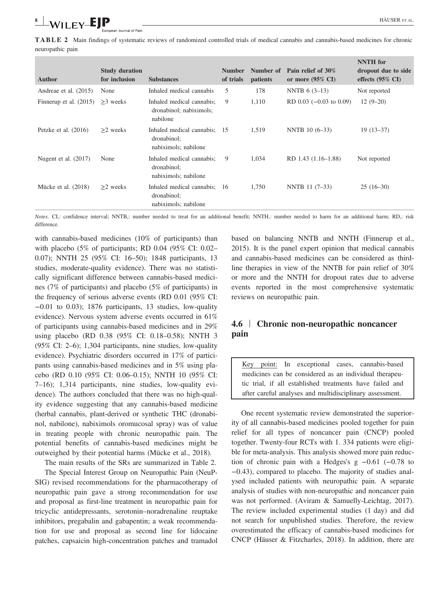n Journal of Pain

TABLE 2 Main findings of systematic reviews of randomized controlled trials of medical cannabis and cannabis‐based medicines for chronic neuropathic pain

| <b>Author</b>            | <b>Study duration</b><br>for inclusion | <b>Substances</b>                                                   | <b>Number</b><br>of trials | Number of<br>patients | Pain relief of 30%<br>or more $(95\% \text{ CI})$ | <b>NNTH</b> for<br>dropout due to side<br>effects $(95\% \text{ CI})$ |
|--------------------------|----------------------------------------|---------------------------------------------------------------------|----------------------------|-----------------------|---------------------------------------------------|-----------------------------------------------------------------------|
| Andreae et al. (2015)    | None                                   | Inhaled medical cannabis                                            | 5                          | 178                   | NNTB $6(3-13)$                                    | Not reported                                                          |
| Finnerup et al. $(2015)$ | $\geq$ weeks                           | Inhaled medical cannabis;<br>dronabinol; nabiximols;<br>nabilone    | 9                          | 1,110                 | RD $0.03$ ( $-0.03$ to $0.09$ )                   | $12(9-20)$                                                            |
| Petzke et al. $(2016)$   | $\geq$ weeks                           | Inhaled medical cannabis; 15<br>dronabinol;<br>nabiximols; nabilone |                            | 1,519                 | NNTB 10 (6-33)                                    | $19(13-37)$                                                           |
| Nugent et al. $(2017)$   | None                                   | Inhaled medical cannabis;<br>dronabinol;<br>nabiximols; nabilone    | 9                          | 1,034                 | RD 1.43 (1.16–1.88)                               | Not reported                                                          |
| Mücke et al. (2018)      | $\geq$ weeks                           | Inhaled medical cannabis; 16<br>dronabinol;<br>nabiximols; nabilone |                            | 1,750                 | NNTB 11 (7-33)                                    | $25(16-30)$                                                           |

Notes. CI,: confidence interval; NNTB,: number needed to treat for an additional benefit; NNTH,: number needed to harm for an additional harm; RD,: risk difference.

with cannabis-based medicines (10% of participants) than with placebo (5% of participants; RD 0.04 (95% CI: 0.02– 0.07); NNTH 25 (95% CI: 16–50); 1848 participants, 13 studies, moderate‐quality evidence). There was no statistically significant difference between cannabis‐based medicines (7% of participants) and placebo (5% of participants) in the frequency of serious adverse events (RD 0.01 (95% CI: −0.01 to 0.03); 1876 participants, 13 studies, low‐quality evidence). Nervous system adverse events occurred in 61% of participants using cannabis‐based medicines and in 29% using placebo (RD 0.38 (95% CI: 0.18–0.58); NNTH 3 (95% CI: 2–6); 1,304 participants, nine studies, low‐quality evidence). Psychiatric disorders occurred in 17% of participants using cannabis‐based medicines and in 5% using placebo (RD 0.10 (95% CI: 0.06–0.15); NNTH 10 (95% CI: 7–16); 1,314 participants, nine studies, low‐quality evidence). The authors concluded that there was no high‐quality evidence suggesting that any cannabis‐based medicine (herbal cannabis, plant‐derived or synthetic THC (dronabinol, nabilone), nabiximols oromucosal spray) was of value in treating people with chronic neuropathic pain. The potential benefits of cannabis‐based medicines might be outweighed by their potential harms (Mücke et al., 2018).

The main results of the SRs are summarized in Table 2.

The Special Interest Group on Neuropathic Pain (NeuP-SIG) revised recommendations for the pharmacotherapy of neuropathic pain gave a strong recommendation for use and proposal as first‐line treatment in neuropathic pain for tricyclic antidepressants, serotonin–noradrenaline reuptake inhibitors, pregabalin and gabapentin; a weak recommendation for use and proposal as second line for lidocaine patches, capsaicin high‐concentration patches and tramadol based on balancing NNTB and NNTH (Finnerup et al., 2015). It is the panel expert opinion that medical cannabis and cannabis-based medicines can be considered as thirdline therapies in view of the NNTB for pain relief of 30% or more and the NNTH for dropout rates due to adverse events reported in the most comprehensive systematic reviews on neuropathic pain.

## 4.6 <sup>|</sup> Chronic non‐neuropathic noncancer pain

Key point: In exceptional cases, cannabis‐based medicines can be considered as an individual therapeutic trial, if all established treatments have failed and after careful analyses and multidisciplinary assessment.

One recent systematic review demonstrated the superiority of all cannabis‐based medicines pooled together for pain relief for all types of noncancer pain (CNCP) pooled together. Twenty‐four RCTs with 1. 334 patients were eligible for meta-analysis. This analysis showed more pain reduction of chronic pain with a Hedges's g −0.61 (−0.78 to −0.43), compared to placebo. The majority of studies analysed included patients with neuropathic pain. A separate analysis of studies with non‐neuropathic and noncancer pain was not performed. (Aviram & Samuelly-Leichtag, 2017). The review included experimental studies (1 day) and did not search for unpublished studies. Therefore, the review overestimated the efficacy of cannabis‐based medicines for CNCP (Häuser & Fitzcharles, 2018). In addition, there are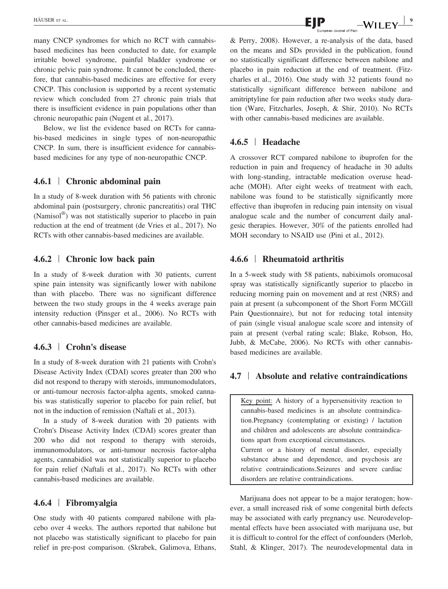many CNCP syndromes for which no RCT with cannabisbased medicines has been conducted to date, for example irritable bowel syndrome, painful bladder syndrome or chronic pelvic pain syndrome. It cannot be concluded, therefore, that cannabis‐based medicines are effective for every CNCP. This conclusion is supported by a recent systematic review which concluded from 27 chronic pain trials that there is insufficient evidence in pain populations other than chronic neuropathic pain (Nugent et al., 2017).

Below, we list the evidence based on RCTs for cannabis‐based medicines in single types of non‐neuropathic CNCP. In sum, there is insufficient evidence for cannabisbased medicines for any type of non‐neuropathic CNCP.

## 4.6.1 | Chronic abdominal pain

In a study of 8‐week duration with 56 patients with chronic abdominal pain (postsurgery, chronic pancreatitis) oral THC (Namisol®) was not statistically superior to placebo in pain reduction at the end of treatment (de Vries et al., 2017). No RCTs with other cannabis‐based medicines are available.

#### 4.6.2 | Chronic low back pain

In a study of 8‐week duration with 30 patients, current spine pain intensity was significantly lower with nabilone than with placebo. There was no significant difference between the two study groups in the 4 weeks average pain intensity reduction (Pinsger et al., 2006). No RCTs with other cannabis‐based medicines are available.

#### 4.6.3 | Crohn's disease

In a study of 8‐week duration with 21 patients with Crohn's Disease Activity Index (CDAI) scores greater than 200 who did not respond to therapy with steroids, immunomodulators, or anti-tumour necrosis factor-alpha agents, smoked cannabis was statistically superior to placebo for pain relief, but not in the induction of remission (Naftali et al., 2013).

In a study of 8‐week duration with 20 patients with Crohn's Disease Activity Index (CDAI) scores greater than 200 who did not respond to therapy with steroids, immunomodulators, or anti-tumour necrosis factor-alpha agents, cannabidiol was not statistically superior to placebo for pain relief (Naftali et al., 2017). No RCTs with other cannabis‐based medicines are available.

#### 4.6.4 | Fibromyalgia

One study with 40 patients compared nabilone with placebo over 4 weeks. The authors reported that nabilone but not placebo was statistically significant to placebo for pain relief in pre‐post comparison. (Skrabek, Galimova, Ethans, on the means and SDs provided in the publication, found no statistically significant difference between nabilone and placebo in pain reduction at the end of treatment. (Fitzcharles et al., 2016). One study with 32 patients found no statistically significant difference between nabilone and amitriptyline for pain reduction after two weeks study duration (Ware, Fitzcharles, Joseph, & Shir, 2010). No RCTs with other cannabis-based medicines are available.

#### 4.6.5 | Headache

A crossover RCT compared nabilone to ibuprofen for the reduction in pain and frequency of headache in 30 adults with long-standing, intractable medication overuse headache (MOH). After eight weeks of treatment with each, nabilone was found to be statistically significantly more effective than ibuprofen in reducing pain intensity on visual analogue scale and the number of concurrent daily analgesic therapies. However, 30% of the patients enrolled had MOH secondary to NSAID use (Pini et al., 2012).

#### 4.6.6 | Rheumatoid arthritis

In a 5‐week study with 58 patients, nabiximols oromucosal spray was statistically significantly superior to placebo in reducing morning pain on movement and at rest (NRS) and pain at present (a subcomponent of the Short Form MCGill Pain Questionnaire), but not for reducing total intensity of pain (single visual analogue scale score and intensity of pain at present (verbal rating scale; Blake, Robson, Ho, Jubb, & McCabe, 2006). No RCTs with other cannabis‐ based medicines are available.

#### 4.7 | Absolute and relative contraindications

Key point: A history of a hypersensitivity reaction to cannabis‐based medicines is an absolute contraindication.Pregnancy (contemplating or existing) / lactation and children and adolescents are absolute contraindications apart from exceptional circumstances. Current or a history of mental disorder, especially substance abuse and dependence, and psychosis are relative contraindications.Seizures and severe cardiac disorders are relative contraindications.

Marijuana does not appear to be a major teratogen; however, a small increased risk of some congenital birth defects may be associated with early pregnancy use. Neurodevelopmental effects have been associated with marijuana use, but it is difficult to control for the effect of confounders (Merlob, Stahl, & Klinger, 2017). The neurodevelopmental data in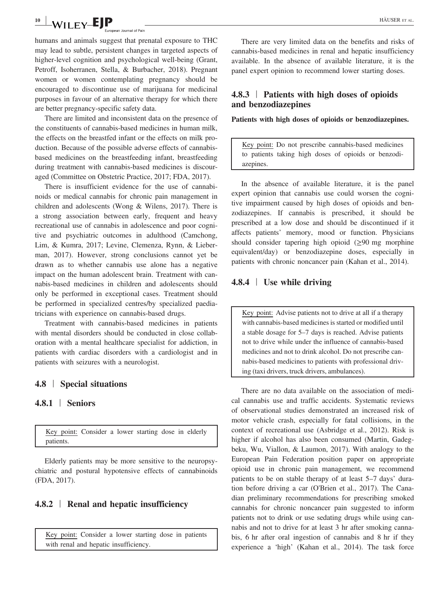## $\frac{10}{10}$  WII FY-EIP  $\qquad \qquad$   $\qquad \qquad$  HÄUSER ET AL.

humans and animals suggest that prenatal exposure to THC may lead to subtle, persistent changes in targeted aspects of higher-level cognition and psychological well-being (Grant, Petroff, Isoherranen, Stella, & Burbacher, 2018). Pregnant women or women contemplating pregnancy should be encouraged to discontinue use of marijuana for medicinal purposes in favour of an alternative therapy for which there are better pregnancy‐specific safety data.

There are limited and inconsistent data on the presence of the constituents of cannabis‐based medicines in human milk, the effects on the breastfed infant or the effects on milk production. Because of the possible adverse effects of cannabisbased medicines on the breastfeeding infant, breastfeeding during treatment with cannabis‐based medicines is discouraged (Committee on Obstetric Practice, 2017; FDA, 2017).

There is insufficient evidence for the use of cannabinoids or medical cannabis for chronic pain management in children and adolescents (Wong & Wilens, 2017). There is a strong association between early, frequent and heavy recreational use of cannabis in adolescence and poor cognitive and psychiatric outcomes in adulthood (Camchong, Lim, & Kumra, 2017; Levine, Clemenza, Rynn, & Lieberman, 2017). However, strong conclusions cannot yet be drawn as to whether cannabis use alone has a negative impact on the human adolescent brain. Treatment with cannabis‐based medicines in children and adolescents should only be performed in exceptional cases. Treatment should be performed in specialized centres/by specialized paediatricians with experience on cannabis‐based drugs.

Treatment with cannabis‐based medicines in patients with mental disorders should be conducted in close collaboration with a mental healthcare specialist for addiction, in patients with cardiac disorders with a cardiologist and in patients with seizures with a neurologist.

#### 4.8 | Special situations

#### 4.8.1 | Seniors

Key point: Consider a lower starting dose in elderly patients.

Elderly patients may be more sensitive to the neuropsychiatric and postural hypotensive effects of cannabinoids (FDA, 2017).

#### 4.8.2 | Renal and hepatic insufficiency

Key point: Consider a lower starting dose in patients with renal and hepatic insufficiency.

There are very limited data on the benefits and risks of cannabis‐based medicines in renal and hepatic insufficiency available. In the absence of available literature, it is the panel expert opinion to recommend lower starting doses.

## 4.8.3 | Patients with high doses of opioids and benzodiazepines

Patients with high doses of opioids or benzodiazepines.

Key point: Do not prescribe cannabis‐based medicines to patients taking high doses of opioids or benzodiazepines.

In the absence of available literature, it is the panel expert opinion that cannabis use could worsen the cognitive impairment caused by high doses of opioids and benzodiazepines. If cannabis is prescribed, it should be prescribed at a low dose and should be discontinued if it affects patients' memory, mood or function. Physicians should consider tapering high opioid  $(\geq)$  mg morphine equivalent/day) or benzodiazepine doses, especially in patients with chronic noncancer pain (Kahan et al., 2014).

#### 4.8.4 | Use while driving

Key point: Advise patients not to drive at all if a therapy with cannabis‐based medicines is started or modified until a stable dosage for 5–7 days is reached. Advise patients not to drive while under the influence of cannabis‐based medicines and not to drink alcohol. Do not prescribe cannabis‐based medicines to patients with professional driving (taxi drivers, truck drivers, ambulances).

There are no data available on the association of medical cannabis use and traffic accidents. Systematic reviews of observational studies demonstrated an increased risk of motor vehicle crash, especially for fatal collisions, in the context of recreational use (Asbridge et al., 2012). Risk is higher if alcohol has also been consumed (Martin, Gadegbeku, Wu, Viallon, & Laumon, 2017). With analogy to the European Pain Federation position paper on appropriate opioid use in chronic pain management, we recommend patients to be on stable therapy of at least 5–7 days' duration before driving a car (O'Brien et al., 2017). The Canadian preliminary recommendations for prescribing smoked cannabis for chronic noncancer pain suggested to inform patients not to drink or use sedating drugs while using cannabis and not to drive for at least 3 hr after smoking cannabis, 6 hr after oral ingestion of cannabis and 8 hr if they experience a 'high' (Kahan et al., 2014). The task force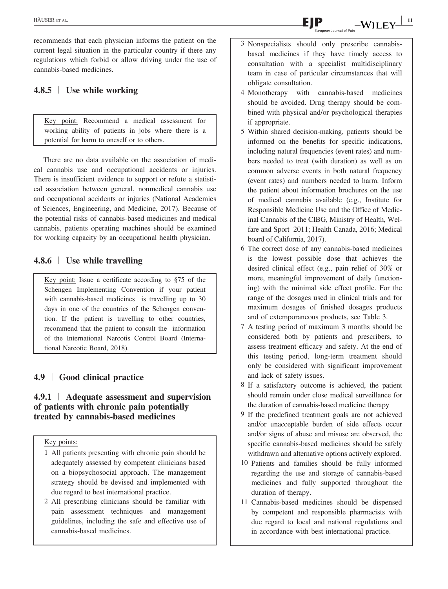recommends that each physician informs the patient on the current legal situation in the particular country if there any regulations which forbid or allow driving under the use of cannabis‐based medicines.

## 4.8.5 | Use while working

Key point: Recommend a medical assessment for working ability of patients in jobs where there is a potential for harm to oneself or to others.

There are no data available on the association of medical cannabis use and occupational accidents or injuries. There is insufficient evidence to support or refute a statistical association between general, nonmedical cannabis use and occupational accidents or injuries (National Academies of Sciences, Engineering, and Medicine, 2017). Because of the potential risks of cannabis‐based medicines and medical cannabis, patients operating machines should be examined for working capacity by an occupational health physician.

## 4.8.6 | Use while travelling

Key point: Issue a certificate according to §75 of the Schengen Implementing Convention if your patient with cannabis-based medicines is travelling up to 30 days in one of the countries of the Schengen convention. If the patient is travelling to other countries, recommend that the patient to consult the information of the International Narcotis Control Board (International Narcotic Board, 2018).

## 4.9 | Good clinical practice

## 4.9.1 | Adequate assessment and supervision of patients with chronic pain potentially treated by cannabis‐based medicines

Key points:

- 1 All patients presenting with chronic pain should be adequately assessed by competent clinicians based on a biopsychosocial approach. The management strategy should be devised and implemented with due regard to best international practice.
- 2 All prescribing clinicians should be familiar with pain assessment techniques and management guidelines, including the safe and effective use of cannabis-based medicines.
- 3 Nonspecialists should only prescribe cannabisbased medicines if they have timely access to consultation with a specialist multidisciplinary team in case of particular circumstances that will obligate consultation.
- 4 Monotherapy with cannabis-based medicines should be avoided. Drug therapy should be combined with physical and/or psychological therapies if appropriate.
- 5 Within shared decision-making, patients should be informed on the benefits for specific indications, including natural frequencies (event rates) and numbers needed to treat (with duration) as well as on common adverse events in both natural frequency (event rates) and numbers needed to harm. Inform the patient about information brochures on the use of medical cannabis available (e.g., Institute for Responsible Medicine Use and the Office of Medicinal Cannabis of the CIBG, Ministry of Health, Welfare and Sport 2011; Health Canada, 2016; Medical board of California, 2017).
- 6 The correct dose of any cannabis-based medicines is the lowest possible dose that achieves the desired clinical effect (e.g., pain relief of 30% or more, meaningful improvement of daily functioning) with the minimal side effect profile. For the range of the dosages used in clinical trials and for maximum dosages of finished dosages products and of extemporaneous products, see Table 3.
- 7 A testing period of maximum 3 months should be considered both by patients and prescribers, to assess treatment efficacy and safety. At the end of this testing period, long-term treatment should only be considered with significant improvement and lack of safety issues.
- 8 If a satisfactory outcome is achieved, the patient should remain under close medical surveillance for the duration of cannabis-based medicine therapy
- 9 If the predefined treatment goals are not achieved and/or unacceptable burden of side effects occur and/or signs of abuse and misuse are observed, the specific cannabis-based medicines should be safely withdrawn and alternative options actively explored.
- 10 Patients and families should be fully informed regarding the use and storage of cannabis-based medicines and fully supported throughout the duration of therapy.
- 11 Cannabis-based medicines should be dispensed by competent and responsible pharmacists with due regard to local and national regulations and in accordance with best international practice.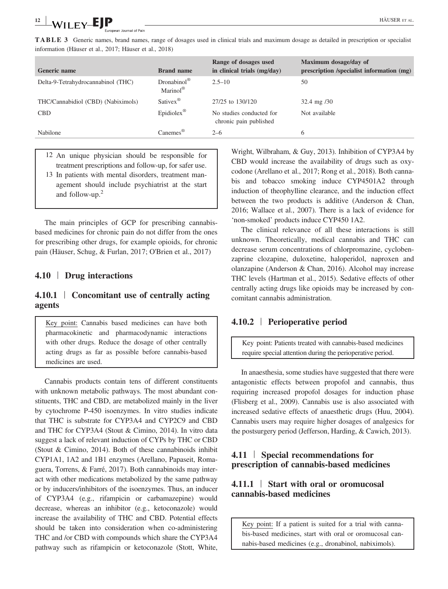TABLE 3 Generic names, brand names, range of dosages used in clinical trials and maximum dosage as detailed in prescription or specialist information (Häuser et al., 2017; Häuser et al., 2018)

| <b>Generic name</b>                | <b>Brand name</b>                                | Range of dosages used<br>in clinical trials (mg/day) | Maximum dosage/day of<br>prescription /specialist information (mg) |
|------------------------------------|--------------------------------------------------|------------------------------------------------------|--------------------------------------------------------------------|
| Delta-9-Tetrahydrocannabinol (THC) | $Dronabinol^{\circledR}$<br>Marinol <sup>®</sup> | $2.5 - 10$                                           | 50                                                                 |
| THC/Cannabidiol (CBD) (Nabiximols) | Sativex <sup>®</sup>                             | 27/25 to 130/120                                     | $32.4 \text{ mg } / 30$                                            |
| <b>CBD</b>                         | Epidiolex <sup>®</sup>                           | No studies conducted for<br>chronic pain published   | Not available                                                      |
| Nabilone                           | $\text{Canemes}^{\circledR}$                     | $2 - 6$                                              | 6                                                                  |

- 12 An unique physician should be responsible for treatment prescriptions and follow-up, for safer use.
- 13 In patients with mental disorders, treatment management should include psychiatrist at the start and follow-up.<sup>2</sup>

The main principles of GCP for prescribing cannabisbased medicines for chronic pain do not differ from the ones for prescribing other drugs, for example opioids, for chronic pain (Häuser, Schug, & Furlan, 2017; O'Brien et al., 2017)

## 4.10 | Drug interactions

## 4.10.1 | Concomitant use of centrally acting agents

Key point: Cannabis based medicines can have both pharmacokinetic and pharmacodynamic interactions with other drugs. Reduce the dosage of other centrally acting drugs as far as possible before cannabis‐based medicines are used.

Cannabis products contain tens of different constituents with unknown metabolic pathways. The most abundant constituents, THC and CBD, are metabolized mainly in the liver by cytochrome P‐450 isoenzymes. In vitro studies indicate that THC is substrate for CYP3A4 and CYP2C9 and CBD and THC for CYP3A4 (Stout & Cimino, 2014). In vitro data suggest a lack of relevant induction of CYPs by THC or CBD (Stout & Cimino, 2014). Both of these cannabinoids inhibit CYP1A1, 1A2 and 1B1 enzymes (Arellano, Papaseit, Romaguera, Torrens, & Farré, 2017). Both cannabinoids may interact with other medications metabolized by the same pathway or by inducers/inhibitors of the isoenzymes. Thus, an inducer of CYP3A4 (e.g., rifampicin or carbamazepine) would decrease, whereas an inhibitor (e.g., ketoconazole) would increase the availability of THC and CBD. Potential effects should be taken into consideration when co-administering THC and /or CBD with compounds which share the CYP3A4 pathway such as rifampicin or ketoconazole (Stott, White,

Wright, Wilbraham, & Guy, 2013). Inhibition of CYP3A4 by CBD would increase the availability of drugs such as oxycodone (Arellano et al., 2017; Rong et al., 2018). Both cannabis and tobacco smoking induce CYP4501A2 through induction of theophylline clearance, and the induction effect between the two products is additive (Anderson & Chan, 2016; Wallace et al., 2007). There is a lack of evidence for 'non‐smoked' products induce CYP450 1A2.

The clinical relevance of all these interactions is still unknown. Theoretically, medical cannabis and THC can decrease serum concentrations of chlorpromazine, cyclobenzaprine clozapine, duloxetine, haloperidol, naproxen and olanzapine (Anderson & Chan, 2016). Alcohol may increase THC levels (Hartman et al., 2015). Sedative effects of other centrally acting drugs like opioids may be increased by concomitant cannabis administration.

## 4.10.2 | Perioperative period

Key point: Patients treated with cannabis‐based medicines require special attention during the perioperative period.

In anaesthesia, some studies have suggested that there were antagonistic effects between propofol and cannabis, thus requiring increased propofol dosages for induction phase (Flisberg et al., 2009). Cannabis use is also associated with increased sedative effects of anaesthetic drugs (Huu, 2004). Cannabis users may require higher dosages of analgesics for the postsurgery period (Jefferson, Harding, & Cawich, 2013).

## 4.11 | Special recommendations for prescription of cannabis‐based medicines

## 4.11.1 | Start with oral or oromucosal cannabis‐based medicines

Key point: If a patient is suited for a trial with cannabis‐based medicines, start with oral or oromucosal cannabis‐based medicines (e.g., dronabinol, nabiximols).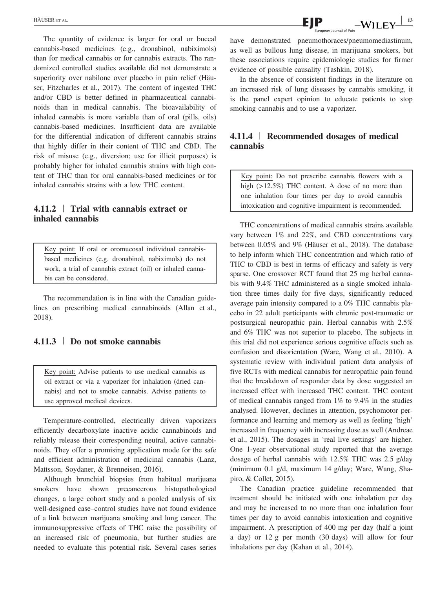The quantity of evidence is larger for oral or buccal cannabis‐based medicines (e.g., dronabinol, nabiximols) than for medical cannabis or for cannabis extracts. The randomized controlled studies available did not demonstrate a superiority over nabilone over placebo in pain relief (Häuser, Fitzcharles et al., 2017). The content of ingested THC and/or CBD is better defined in pharmaceutical cannabinoids than in medical cannabis. The bioavailability of inhaled cannabis is more variable than of oral (pills, oils) cannabis‐based medicines. Insufficient data are available for the differential indication of different cannabis strains that highly differ in their content of THC and CBD. The risk of misuse (e.g., diversion; use for illicit purposes) is probably higher for inhaled cannabis strains with high content of THC than for oral cannabis‐based medicines or for inhaled cannabis strains with a low THC content.

## 4.11.2 | Trial with cannabis extract or inhaled cannabis

Key point: If oral or oromucosal individual cannabisbased medicines (e.g. dronabinol, nabiximols) do not work, a trial of cannabis extract (oil) or inhaled cannabis can be considered.

The recommendation is in line with the Canadian guidelines on prescribing medical cannabinoids (Allan et al., 2018).

#### 4.11.3 | Do not smoke cannabis

Key point: Advise patients to use medical cannabis as oil extract or via a vaporizer for inhalation (dried cannabis) and not to smoke cannabis. Advise patients to use approved medical devices.

Temperature-controlled, electrically driven vaporizers efficiently decarboxylate inactive acidic cannabinoids and reliably release their corresponding neutral, active cannabinoids. They offer a promising application mode for the safe and efficient administration of medicinal cannabis (Lanz, Mattsson, Soydaner, & Brenneisen, 2016).

Although bronchial biopsies from habitual marijuana smokers have shown precancerous histopathological changes, a large cohort study and a pooled analysis of six well-designed case–control studies have not found evidence of a link between marijuana smoking and lung cancer. The immunosuppressive effects of THC raise the possibility of an increased risk of pneumonia, but further studies are needed to evaluate this potential risk. Several cases series have demonstrated pneumothoraces/pneumomediastinum, as well as bullous lung disease, in marijuana smokers, but these associations require epidemiologic studies for firmer evidence of possible causality (Tashkin, 2018).

In the absence of consistent findings in the literature on an increased risk of lung diseases by cannabis smoking, it is the panel expert opinion to educate patients to stop smoking cannabis and to use a vaporizer.

## 4.11.4 | Recommended dosages of medical cannabis

Key point: Do not prescribe cannabis flowers with a high (>12.5%) THC content. A dose of no more than one inhalation four times per day to avoid cannabis intoxication and cognitive impairment is recommended.

THC concentrations of medical cannabis strains available vary between 1% and 22%, and CBD concentrations vary between 0.05% and 9% (Häuser et al., 2018). The database to help inform which THC concentration and which ratio of THC to CBD is best in terms of efficacy and safety is very sparse. One crossover RCT found that 25 mg herbal cannabis with 9.4% THC administered as a single smoked inhalation three times daily for five days, significantly reduced average pain intensity compared to a 0% THC cannabis placebo in 22 adult participants with chronic post‐traumatic or postsurgical neuropathic pain. Herbal cannabis with 2.5% and 6% THC was not superior to placebo. The subjects in this trial did not experience serious cognitive effects such as confusion and disorientation (Ware, Wang et al., 2010). A systematic review with individual patient data analysis of five RCTs with medical cannabis for neuropathic pain found that the breakdown of responder data by dose suggested an increased effect with increased THC content. THC content of medical cannabis ranged from 1% to 9.4% in the studies analysed. However, declines in attention, psychomotor performance and learning and memory as well as feeling 'high' increased in frequency with increasing dose as well (Andreae et al., 2015). The dosages in 'real live settings' are higher. One 1‐year observational study reported that the average dosage of herbal cannabis with 12.5% THC was 2.5 g/day (minimum 0.1 g/d, maximum 14 g/day; Ware, Wang, Shapiro, & Collet, 2015).

The Canadian practice guideline recommended that treatment should be initiated with one inhalation per day and may be increased to no more than one inhalation four times per day to avoid cannabis intoxication and cognitive impairment. A prescription of 400 mg per day (half a joint a day) or 12 g per month (30 days) will allow for four inhalations per day (Kahan et al., 2014).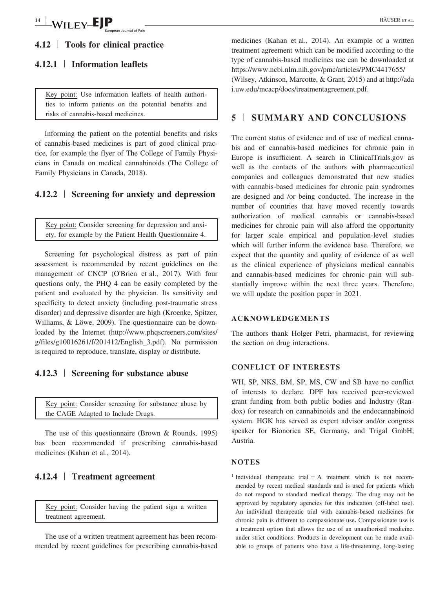## 4.12 | Tools for clinical practice

## 4.12.1 | Information leaflets

Key point: Use information leaflets of health authorities to inform patients on the potential benefits and risks of cannabis‐based medicines.

Informing the patient on the potential benefits and risks of cannabis‐based medicines is part of good clinical practice, for example the flyer of The College of Family Physicians in Canada on medical cannabinoids (The College of Family Physicians in Canada, 2018).

#### 4.12.2 | Screening for anxiety and depression

Key point: Consider screening for depression and anxiety, for example by the Patient Health Questionnaire 4.

Screening for psychological distress as part of pain assessment is recommended by recent guidelines on the management of CNCP (O'Brien et al., 2017). With four questions only, the PHQ 4 can be easily completed by the patient and evaluated by the physician. Its sensitivity and specificity to detect anxiety (including post-traumatic stress disorder) and depressive disorder are high (Kroenke, Spitzer, Williams, & Löwe, 2009). The questionnaire can be downloaded by the Internet ([http://www.phqscreeners.com/sites/](http://www.phqscreeners.com/sites/g/files/g10016261/f/201412/English_3.pdf) [g/files/g10016261/f/201412/English\\_3.pdf\)](http://www.phqscreeners.com/sites/g/files/g10016261/f/201412/English_3.pdf). No permission is required to reproduce, translate, display or distribute.

## 4.12.3 | Screening for substance abuse

Key point: Consider screening for substance abuse by the CAGE Adapted to Include Drugs.

The use of this questionnaire (Brown & Rounds, 1995) has been recommended if prescribing cannabis-based medicines (Kahan et al., 2014).

## 4.12.4 | Treatment agreement

Key point: Consider having the patient sign a written treatment agreement.

The use of a written treatment agreement has been recommended by recent guidelines for prescribing cannabis‐based medicines (Kahan et al., 2014). An example of a written treatment agreement which can be modified according to the type of cannabis‐based medicines use can be downloaded at <https://www.ncbi.nlm.nih.gov/pmc/articles/PMC4417655/> (Wilsey, Atkinson, Marcotte, & Grant, 2015) and at [http://ada](http://adai.uw.edu/mcacp/docs/treatmentagreement.pdf) [i.uw.edu/mcacp/docs/treatmentagreement.pdf.](http://adai.uw.edu/mcacp/docs/treatmentagreement.pdf)

## 5 | SUMMARY AND CONCLUSIONS

The current status of evidence and of use of medical cannabis and of cannabis‐based medicines for chronic pain in Europe is insufficient. A search in ClinicalTrials.gov as well as the contacts of the authors with pharmaceutical companies and colleagues demonstrated that new studies with cannabis-based medicines for chronic pain syndromes are designed and /or being conducted. The increase in the number of countries that have moved recently towards authorization of medical cannabis or cannabis‐based medicines for chronic pain will also afford the opportunity for larger scale empirical and population‐level studies which will further inform the evidence base. Therefore, we expect that the quantity and quality of evidence of as well as the clinical experience of physicians medical cannabis and cannabis‐based medicines for chronic pain will substantially improve within the next three years. Therefore, we will update the position paper in 2021.

#### ACKNOWLEDGEMENTS

The authors thank Holger Petri, pharmacist, for reviewing the section on drug interactions.

#### CONFLICT OF INTERESTS

WH, SP, NKS, BM, SP, MS, CW and SB have no conflict of interests to declare. DPF has received peer‐reviewed grant funding from both public bodies and Industry (Randox) for research on cannabinoids and the endocannabinoid system. HGK has served as expert advisor and/or congress speaker for Bionorica SE, Germany, and Trigal GmbH, Austria.

#### **NOTES**

<sup>1</sup> Individual therapeutic trial  $= A$  treatment which is not recommended by recent medical standards and is used for patients which do not respond to standard medical therapy. The drug may not be approved by regulatory agencies for this indication (off‐label use). An individual therapeutic trial with cannabis‐based medicines for chronic pain is different to compassionate use. Compassionate use is a treatment option that allows the use of an unauthorised medicine. under strict conditions. Products in development can be made available to groups of patients who have a life‐threatening, long‐lasting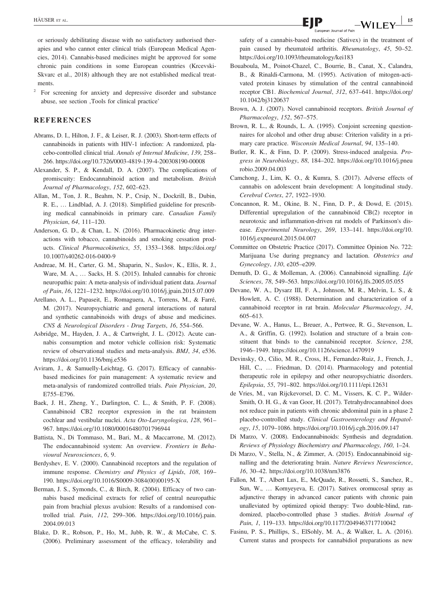or seriously debilitating disease with no satisfactory authorised therapies and who cannot enter clinical trials (European Medical Agencies, 2014). Cannabis‐based medicines might be approved for some chronic pain conditions in some European countries (Krcevski-Skvarc et al., 2018) although they are not established medical treatments.

<sup>2</sup> For screening for anxiety and depressive disorder and substance abuse, see section ,Tools for clinical practice'

#### **REFERENCES**

- Abrams, D. I., Hilton, J. F., & Leiser, R. J. (2003). Short-term effects of cannabinoids in patients with HIV‐1 infection: A randomized, placebo-controlled clinical trial. Annals of Internal Medicine, 139, 258– 266.<https://doi.org/10.7326/0003-4819-139-4-200308190-00008>
- Alexander, S. P., & Kendall, D. A. (2007). The complications of promiscuity: Endocannabinoid action and metabolism. British Journal of Pharmacology, 152, 602–623.
- Allan, M., Ton, J. R., Beahm, N. P., Crsip, N., Dockrill, B., Dubin, R. E., … Lindblad, A. J. (2018). Simplified guideline for prescribing medical cannabinoids in primary care. Canadian Family Physician, 64, 111–120.
- Anderson, G. D., & Chan, L. N. (2016). Pharmacokinetic drug interactions with tobacco, cannabinoids and smoking cessation products. Clinical Pharmacokinetics, 55, 1353–1368. [https://doi.org/](https://doi.org/10.1007/s40262-016-0400-9) [10.1007/s40262-016-0400-9](https://doi.org/10.1007/s40262-016-0400-9)
- Andreae, M. H., Carter, G. M., Shaparin, N., Suslov, K., Ellis, R. J., Ware, M. A., … Sacks, H. S. (2015). Inhaled cannabis for chronic neuropathic pain: A meta‐analysis of individual patient data. Journal of Pain, 16, 1221–1232.<https://doi.org/10.1016/j.jpain.2015.07.009>
- Arellano, A. L., Papaseit, E., Romaguera, A., Torrens, M., & Farré, M. (2017). Neuropsychiatric and general interactions of natural and synthetic cannabinoids with drugs of abuse and medicines. CNS & Neurological Disorders ‐ Drug Targets, 16, 554–566.
- Asbridge, M., Hayden, J. A., & Cartwright, J. L. (2012). Acute cannabis consumption and motor vehicle collision risk: Systematic review of observational studies and meta-analysis. BMJ, 34, e536. <https://doi.org/10.1136/bmj.e536>
- Aviram, J., & Samuelly-Leichtag, G. (2017). Efficacy of cannabisbased medicines for pain management: A systematic review and meta-analysis of randomized controlled trials. Pain Physician, 20, E755–E796.
- Baek, J. H., Zheng, Y., Darlington, C. L., & Smith, P. F. (2008). Cannabinoid CB2 receptor expression in the rat brainstem cochlear and vestibular nuclei. Acta Oto‐Laryngologica, 128, 961– 967.<https://doi.org/10.1080/00016480701796944>
- Battista, N., Di Tommaso, M., Bari, M., & Maccarrone, M. (2012). The endocannabinoid system: An overview. Frontiers in Behavioural Neurosciences, 6, 9.
- Berdyshev, E. V. (2000). Cannabinoid receptors and the regulation of immune response. Chemistry and Physics of Lipids, 108, 169– 190. [https://doi.org/10.1016/S0009-3084\(00\)00195-X](https://doi.org/10.1016/S0009-3084(00)00195-X)
- Berman, J. S., Symonds, C., & Birch, R. (2004). Efficacy of two cannabis based medicinal extracts for relief of central neuropathic pain from brachial plexus avulsion: Results of a randomised controlled trial. Pain, 112, 299–306. [https://doi.org/10.1016/j.pain.](https://doi.org/10.1016/j.pain.2004.09.013) [2004.09.013](https://doi.org/10.1016/j.pain.2004.09.013)
- Blake, D. R., Robson, P., Ho, M., Jubb, R. W., & McCabe, C. S. (2006). Preliminary assessment of the efficacy, tolerability and

safety of a cannabis‐based medicine (Sativex) in the treatment of pain caused by rheumatoid arthritis. Rheumatology, 45, 50–52. <https://doi.org/10.1093/rheumatology/kei183>

- Bouaboula, M., Poinot-Chazel, C., Bourrie, B., Canat, X., Calandra, B., & Rinaldi-Carmona, M. (1995). Activation of mitogen-activated protein kinases by stimulation of the central cannabinoid receptor CB1. Biochemical Journal, 312, 637–641. [https://doi.org/](https://doi.org/10.1042/bj3120637) [10.1042/bj3120637](https://doi.org/10.1042/bj3120637)
- Brown, A. J. (2007). Novel cannabinoid receptors. British Journal of Pharmacology, 152, 567–575.
- Brown, R. L., & Rounds, L. A. (1995). Conjoint screening questionnaires for alcohol and other drug abuse: Criterion validity in a primary care practice. Wisconsin Medical Journal, 94, 135–140.
- Butler, R. K., & Finn, D. P. (2009). Stress-induced analgesia. Progress in Neurobiology, 88, 184–202. [https://doi.org/10.1016/j.pneu](https://doi.org/10.1016/j.pneurobio.2009.04.003) [robio.2009.04.003](https://doi.org/10.1016/j.pneurobio.2009.04.003)
- Camchong, J., Lim, K. O., & Kumra, S. (2017). Adverse effects of cannabis on adolescent brain development: A longitudinal study. Cerebral Cortex, 27, 1922–1930.
- Concannon, R. M., Okine, B. N., Finn, D. P., & Dowd, E. (2015). Differential upregulation of the cannabinoid CB(2) receptor in neurotoxic and inflammation‐driven rat models of Parkinson's disease. Experimental Neurology, 269, 133–141. [https://doi.org/10.](https://doi.org/10.1016/j.expneurol.2015.04.007) [1016/j.expneurol.2015.04.007](https://doi.org/10.1016/j.expneurol.2015.04.007)
- Committee on Obstetric Practice (2017). Committee Opinion No. 722: Marijuana Use during pregnancy and lactation. Obstetrics and Gynecology, 130, e205–e209.
- Demuth, D. G., & Molleman, A. (2006). Cannabinoid signalling. Life Sciences, 78, 549–563.<https://doi.org/10.1016/j.lfs.2005.05.055>
- Devane, W. A., Dysarz III, F. A., Johnson, M. R., Melvin, L. S., & Howlett, A. C. (1988). Determination and characterization of a cannabinoid receptor in rat brain. Molecular Pharmacology, 34, 605–613.
- Devane, W. A., Hanus, L., Breuer, A., Pertwee, R. G., Stevenson, L. A., & Griffin, G. (1992). Isolation and structure of a brain constituent that binds to the cannabinoid receptor. Science, 258, 1946–1949.<https://doi.org/10.1126/science.1470919>
- Devinsky, O., Cilio, M. R., Cross, H., Fernandez-Ruiz, J., French, J., Hill, C., … Friedman, D. (2014). Pharmacology and potential therapeutic role in epilepsy and other neuropsychiatric disorders. Epilepsia, 55, 791–802.<https://doi.org/10.1111/epi.12631>
- de Vries, M., van Rijckevorsel, D. C. M., Vissers, K. C. P., Wilder-Smith, O. H. G., & van Goor, H. (2017). Tetrahydrocannabinol does not reduce pain in patients with chronic abdominal pain in a phase 2 placebo-controlled study. Clinical Gastroenterology and Hepatology, 15, 1079–1086.<https://doi.org/10.1016/j.cgh.2016.09.147>
- Di Marzo, V. (2008). Endocannabinoids: Synthesis and degradation. Reviews of Physiology Biochemistry and Pharmacology, 160, 1–24.
- Di Marzo, V., Stella, N., & Zimmer, A. (2015). Endocannabinoid signalling and the deteriorating brain. Nature Reviews Neuroscience, 16, 30–42.<https://doi.org/10.1038/nrn3876>
- Fallon, M. T., Albert Lux, E., McQuade, R., Rossetti, S., Sanchez, R., Sun, W., … Kornyeyeva, E. (2017). Sativex oromucosal spray as adjunctive therapy in advanced cancer patients with chronic pain unalleviated by optimized opioid therapy: Two double‐blind, randomized, placebo‐controlled phase 3 studies. British Journal of Pain, 1, 119–133.<https://doi.org/10.1177/2049463717710042>
- Fasinu, P. S., Phillips, S., ElSohly, M. A., & Walker, L. A. (2016). Current status and prospects for cannabidiol preparations as new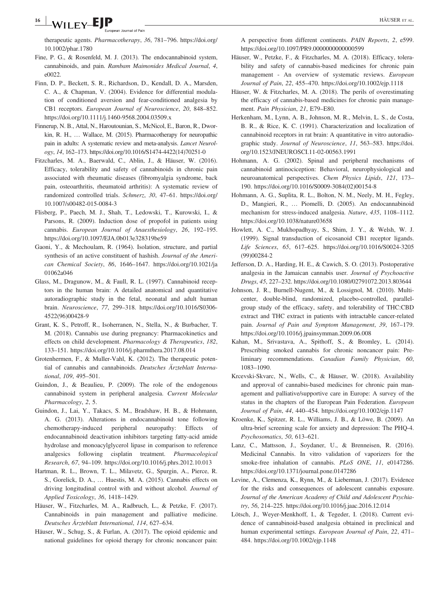#### $\frac{16}{16}$  WILEY-EJP  $\qquad \qquad$   $\qquad \qquad$   $\qquad$   $\qquad \qquad$   $\qquad$   $\qquad$   $\qquad$   $\qquad$   $\qquad$   $\qquad$   $\qquad$   $\qquad$   $\qquad$   $\qquad$   $\qquad$   $\qquad$   $\qquad$   $\qquad$   $\qquad$   $\qquad$   $\qquad$   $\qquad$   $\qquad$   $\qquad$   $\qquad$   $\qquad$   $\qquad$   $\qquad$   $\qquad$   $\qquad$   $\qquad$   $\qquad$ an Journal of Pain

therapeutic agents. Pharmacotherapy, 36, 781–796. [https://doi.org/](https://doi.org/10.1002/phar.1780) [10.1002/phar.1780](https://doi.org/10.1002/phar.1780)

- Fine, P. G., & Rosenfeld, M. J. (2013). The endocannabinoid system, cannabinoids, and pain. Rambam Maimonides Medical Journal, 4, e0022.
- Finn, D. P., Beckett, S. R., Richardson, D., Kendall, D. A., Marsden, C. A., & Chapman, V. (2004). Evidence for differential modulation of conditioned aversion and fear‐conditioned analgesia by CB1 receptors. European Journal of Neuroscience, 20, 848–852. <https://doi.org/10.1111/j.1460-9568.2004.03509.x>
- Finnerup, N. B., Attal, N., Haroutounian, S., McNicol, E., Baron, R., Dworkin, R. H., … Wallace, M. (2015). Pharmacotherapy for neuropathic pain in adults: A systematic review and meta-analysis. Lancet Neurology, 14, 162–173. [https://doi.org/10.1016/S1474-4422\(14\)70251-0](https://doi.org/10.1016/S1474-4422(14)70251-0)
- Fitzcharles, M. A., Baerwald, C., Ablin, J., & Häuser, W. (2016). Efficacy, tolerability and safety of cannabinoids in chronic pain associated with rheumatic diseases (fibromyalgia syndrome, back pain, osteoarthritis, rheumatoid arthritis): A systematic review of randomized controlled trials. Schmerz, 30, 47–61. [https://doi.org/](https://doi.org/10.1007/s00482-015-0084-3) [10.1007/s00482-015-0084-3](https://doi.org/10.1007/s00482-015-0084-3)
- Flisberg, P., Paech, M. J., Shah, T., Ledowski, T., Kurowski, I., & Parsons, R. (2009). Induction dose of propofol in patients using cannabis. European Journal of Anaesthesiology, 26, 192–195. <https://doi.org/10.1097/EJA.0b013e328319be59>
- Gaoni, Y., & Mechoulam, R. (1964). Isolation, structure, and partial synthesis of an active constituent of hashish. Journal of the American Chemical Society, 86, 1646–1647. [https://doi.org/10.1021/ja](https://doi.org/10.1021/ja01062a046) [01062a046](https://doi.org/10.1021/ja01062a046)
- Glass, M., Dragunow, M., & Faull, R. L. (1997). Cannabinoid receptors in the human brain: A detailed anatomical and quantitative autoradiographic study in the fetal, neonatal and adult human brain. Neuroscience, 77, 299–318. [https://doi.org/10.1016/S0306-](https://doi.org/10.1016/S0306-4522(96)00428-9) [4522\(96\)00428-9](https://doi.org/10.1016/S0306-4522(96)00428-9)
- Grant, K. S., Petroff, R., Isoherranen, N., Stella, N., & Burbacher, T. M. (2018). Cannabis use during pregnancy: Pharmacokinetics and effects on child development. Pharmacology & Therapeutics, 182, 133–151.<https://doi.org/10.1016/j.pharmthera.2017.08.014>
- Grotenhermen, F., & Muller-Vahl, K. (2012). The therapeutic potential of cannabis and cannabinoids. Deutsches Ärzteblatt International, 109, 495–501.
- Guindon, J., & Beaulieu, P. (2009). The role of the endogenous cannabinoid system in peripheral analgesia. Current Molecular Pharmacology, 2, 5.
- Guindon, J., Lai, Y., Takacs, S. M., Bradshaw, H. B., & Hohmann, A. G. (2013). Alterations in endocannabinoid tone following chemotherapy‐induced peripheral neuropathy: Effects of endocannabinoid deactivation inhibitors targeting fatty‐acid amide hydrolase and monoacylglycerol lipase in comparison to reference analgesics following cisplatin treatment. Pharmacological Research, 67, 94–109.<https://doi.org/10.1016/j.phrs.2012.10.013>
- Hartman, R. L., Brown, T. L., Milavetz, G., Spurgin, A., Pierce, R. S., Gorelick, D. A., … Huestis, M. A. (2015). Cannabis effects on driving longitudinal control with and without alcohol. Journal of Applied Toxicology, 36, 1418–1429.
- Häuser, W., Fitzcharles, M. A., Radbruch, L., & Petzke, F. (2017). Cannabinoids in pain management and palliative medicine. Deutsches Ärzteblatt International, 114, 627–634.
- Häuser, W., Schug, S., & Furlan, A. (2017). The opioid epidemic and national guidelines for opioid therapy for chronic noncancer pain:

A perspective from different continents. PAIN Reports, 2, e599. <https://doi.org/10.1097/PR9.0000000000000599>

- Häuser, W., Petzke, F., & Fitzcharles, M. A. (2018). Efficacy, tolerability and safety of cannabis‐based medicines for chronic pain management - An overview of systematic reviews. European Journal of Pain, 22, 455–470.<https://doi.org/10.1002/ejp.1118>
- Häuser, W. & Fitzcharles, M. A. (2018). The perils of overestimating the efficacy of cannabis‐based medicines for chronic pain management. Pain Physician, 21, E79–E80.
- Herkenham, M., Lynn, A. B., Johnson, M. R., Melvin, L. S., de Costa, B. R., & Rice, K. C. (1991). Characterization and localization of cannabinoid receptors in rat brain: A quantitative in vitro autoradiographic study. Journal of Neuroscience, 11, 563–583. [https://doi.](https://doi.org/10.1523/JNEUROSCI.11-02-00563.1991) [org/10.1523/JNEUROSCI.11-02-00563.1991](https://doi.org/10.1523/JNEUROSCI.11-02-00563.1991)
- Hohmann, A. G. (2002). Spinal and peripheral mechanisms of cannabinoid antinociception: Behavioral, neurophysiological and neuroanatomical perspectives. Chem Physics Lipids, 121, 173– 190. [https://doi.org/10.1016/S0009-3084\(02\)00154-8](https://doi.org/10.1016/S0009-3084(02)00154-8)
- Hohmann, A. G., Suplita, R. L., Bolton, N. M., Neely, M. H., Fegley, D., Mangieri, R., … Piomelli, D. (2005). An endocannabinoid mechanism for stress-induced analgesia. Nature, 435, 1108–1112. <https://doi.org/10.1038/nature03658>
- Howlett, A. C., Mukhopadhyay, S., Shim, J. Y., & Welsh, W. J. (1999). Signal transduction of eicosanoid CB1 receptor ligands. Life Sciences, 65, 617–625. [https://doi.org/10.1016/S0024-3205](https://doi.org/10.1016/S0024-3205(99)00284-2) [\(99\)00284-2](https://doi.org/10.1016/S0024-3205(99)00284-2)
- Jefferson, D. A., Harding, H. E., & Cawich, S. O. (2013). Postoperative analgesia in the Jamaican cannabis user. Journal of Psychoactive Drugs, 45, 227–232.<https://doi.org/10.1080/02791072.2013.803644>
- Johnson, J. R., Burnell-Nugent, M., & Lossignol, M. (2010). Multicenter, double-blind, randomized, placebo-controlled, parallelgroup study of the efficacy, safety, and tolerability of THC:CBD extract and THC extract in patients with intractable cancer‐related pain. Journal of Pain and Symptom Management, 39, 167–179. <https://doi.org/10.1016/j.jpainsymman.2009.06.008>
- Kahan, M., Srivastava, A., Spithoff, S., & Bromley, L. (2014). Prescribing smoked cannabis for chronic noncancer pain: Preliminary recommendations. Canadian Family Physician, 60, 1083–1090.
- Krcevski-Skvarc, N., Wells, C., & Häuser, W. (2018). Availability and approval of cannabis‐based medicines for chronic pain management and palliative/supportive care in Europe: A survey of the status in the chapters of the European Pain Federation. European Journal of Pain, 44, 440–454.<https://doi.org/10.1002/ejp.1147>
- Kroenke, K., Spitzer, R. L., Williams, J. B., & Löwe, B. (2009). An ultra‐brief screening scale for anxiety and depression: The PHQ‐4. Psychosomatics, 50, 613–621.
- Lanz, C., Mattsson, J., Soydaner, U., & Brenneisen, R. (2016). Medicinal Cannabis. In vitro validation of vaporizers for the smoke-free inhalation of cannabis. PLoS ONE, 11, e0147286. <https://doi.org/10.1371/journal.pone.0147286>
- Levine, A., Clemenza, K., Rynn, M., & Lieberman, J. (2017). Evidence for the risks and consequences of adolescent cannabis exposure. Journal of the American Academy of Child and Adolescent Psychiatry, 56, 214–225.<https://doi.org/10.1016/j.jaac.2016.12.014>
- Lötsch, J., Weyer-Menkhoff, I., & Tegeder, I. (2018). Current evidence of cannabinoid‐based analgesia obtained in preclinical and human experimental settings. European Journal of Pain, 22, 471– 484.<https://doi.org/10.1002/ejp.1148>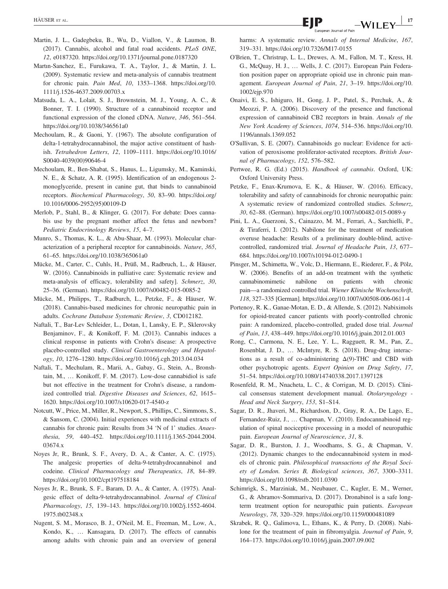- Martin, J. L., Gadegbeku, B., Wu, D., Viallon, V., & Laumon, B. (2017). Cannabis, alcohol and fatal road accidents. PLoS ONE, 12, e0187320.<https://doi.org/10.1371/journal.pone.0187320>
- Martın-Sanchez, E., Furukawa, T. A., Taylor, J., & Martin, J. L. (2009). Systematic review and meta‐analysis of cannabis treatment for chronic pain. Pain Med, 10, 1353–1368. [https://doi.org/10.](https://doi.org/10.1111/j.1526-4637.2009.00703.x) [1111/j.1526-4637.2009.00703.x](https://doi.org/10.1111/j.1526-4637.2009.00703.x)
- Matsuda, L. A., Lolait, S. J., Brownstein, M. J., Young, A. C., & Bonner, T. I. (1990). Structure of a cannabinoid receptor and functional expression of the cloned cDNA. Nature, 346, 561–564. <https://doi.org/10.1038/346561a0>
- Mechoulam, R., & Gaoni, Y. (1967). The absolute configuration of delta‐1‐tetrahydrocannabinol, the major active constituent of hashish. Tetrahedron Letters, 12, 1109–1111. [https://doi.org/10.1016/](https://doi.org/10.1016/S0040-4039(00)90646-4) [S0040-4039\(00\)90646-4](https://doi.org/10.1016/S0040-4039(00)90646-4)
- Mechoulam, R., Ben-Shabat, S., Hanus, L., Ligumsky, M., Kaminski, N. E., & Schatz, A. R. (1995). Identification of an endogenous 2‐ monoglyceride, present in canine gut, that binds to cannabinoid receptors. Biochemical Pharmacology, 50, 83–90. [https://doi.org/](https://doi.org/10.1016/0006-2952(95)00109-D) [10.1016/0006-2952\(95\)00109-D](https://doi.org/10.1016/0006-2952(95)00109-D)
- Merlob, P., Stahl, B., & Klinger, G. (2017). For debate: Does cannabis use by the pregnant mother affect the fetus and newborn? Pediatric Endocrinology Reviews, 15, 4–7.
- Munro, S., Thomas, K. L., & Abu-Shaar, M. (1993). Molecular characterization of a peripheral receptor for cannabinoids. Nature, 365, 61–65.<https://doi.org/10.1038/365061a0>
- Mücke, M., Carter, C., Cuhls, H., Prüß, M., Radbruch, L., & Häuser, W. (2016). Cannabinoids in palliative care: Systematic review and meta-analysis of efficacy, tolerability and safety]. Schmerz, 30, 25–36. (German).<https://doi.org/10.1007/s00482-015-0085-2>
- Mücke, M., Philipps, T., Radburch, L., Petzke, F., & Häuser, W. (2018). Cannabis‐based medicines for chronic neuropathic pain in adults. Cochrane Database Systematic Review, 3, CD012182.
- Naftali, T., Bar-Lev Schleider, L., Dotan, I., Lansky, E. P., Sklerovsky Benjaminov, F., & Konikoff, F. M. (2013). Cannabis induces a clinical response in patients with Crohn's disease: A prospective placebo-controlled study. Clinical Gastroenterology and Hepatology, 10, 1276–1280.<https://doi.org/10.1016/j.cgh.2013.04.034>
- Naftali, T., Mechulam, R., Marii, A., Gabay, G., Stein, A., Bronshtain, M., ... Konikoff, F. M. (2017). Low-dose cannabidiol is safe but not effective in the treatment for Crohn's disease, a randomized controlled trial. Digestive Diseases and Sciences, 62, 1615– 1620.<https://doi.org/10.1007/s10620-017-4540-z>
- Notcutt, W., Price, M., Miller, R., Newport, S., Phillips, C., Simmons, S., & Sansom, C. (2004). Initial experiences with medicinal extracts of cannabis for chronic pain: Results from 34 'N of 1' studies. Anaesthesia, 59, 440–452. [https://doi.org/10.1111/j.1365-2044.2004.](https://doi.org/10.1111/j.1365-2044.2004.03674.x) [03674.x](https://doi.org/10.1111/j.1365-2044.2004.03674.x)
- Noyes Jr, R., Brunk, S. F., Avery, D. A., & Canter, A. C. (1975). The analgesic properties of delta-9-tetrahydrocannabinol and codeine. Clinical Pharmacology and Therapeutics, 18, 84–89. <https://doi.org/10.1002/cpt197518184>
- Noyes Jr, R., Brunk, S. F., Baram, D. A., & Canter, A. (1975). Analgesic effect of delta‐9‐tetrahydrocannabinol. Journal of Clinical Pharmacology, 15, 139–143. [https://doi.org/10.1002/j.1552-4604.](https://doi.org/10.1002/j.1552-4604.1975.tb02348.x) [1975.tb02348.x](https://doi.org/10.1002/j.1552-4604.1975.tb02348.x)
- Nugent, S. M., Morasco, B. J., O'Neil, M. E., Freeman, M., Low, A., Kondo, K., … Kansagara, D. (2017). The effects of cannabis among adults with chronic pain and an overview of general

harms: A systematic review. Annals of Internal Medicine, 167, 319–331.<https://doi.org/10.7326/M17-0155>

- O'Brien, T., Christrup, L. L., Drewes, A. M., Fallon, M. T., Kress, H. G., McQuay, H. J., … Wells, J. C. (2017). European Pain Federation position paper on appropriate opioid use in chronic pain management. European Journal of Pain, 21, 3–19. [https://doi.org/10.](https://doi.org/10.1002/ejp.970) [1002/ejp.970](https://doi.org/10.1002/ejp.970)
- Onaivi, E. S., Ishiguro, H., Gong, J. P., Patel, S., Perchuk, A., & Meozzi, P. A. (2006). Discovery of the presence and functional expression of cannabinoid CB2 receptors in brain. Annals of the New York Academy of Sciences, 1074, 514–536. [https://doi.org/10.](https://doi.org/10.1196/annals.1369.052) [1196/annals.1369.052](https://doi.org/10.1196/annals.1369.052)
- O'Sullivan, S. E. (2007). Cannabinoids go nuclear: Evidence for activation of peroxisome proliferator-activated receptors. British Journal of Pharmacology, 152, 576–582.
- Pertwee, R. G. (Ed.) (2015). Handbook of cannabis. Oxford, UK: Oxford University Press.
- Petzke, F., Enax-Krumova, E. K., & Häuser, W. (2016). Efficacy, tolerability and safety of cannabinoids for chronic neuropathic pain: A systematic review of randomized controlled studies. Schmerz, 30, 62–88. (German).<https://doi.org/10.1007/s00482-015-0089-y>
- Pini, L. A., Guerzoni, S., Cainazzo, M. M., Ferrari, A., Sarchielli, P., & Tiraferri, I. (2012). Nabilone for the treatment of medication overuse headache: Results of a preliminary double‐blind, active‐ controlled, randomized trial. Journal of Headache Pain, 13, 677– 684.<https://doi.org/10.1007/s10194-012-0490-1>
- Pinsger, M., Schimetta, W., Volc, D., Hiermann, E., Riederer, F., & Pölz, W. (2006). Benefits of an add-on treatment with the synthetic cannabinomimetic nabilone on patients with chronic pain—a randomized controlled trial. Wiener Klinische Wochenschrift, 118, 327–335 [German].<https://doi.org/10.1007/s00508-006-0611-4>
- Portenoy, R. K., Ganae-Motan, E. D., & Allende, S. (2012). Nabiximols for opioid-treated cancer patients with poorly-controlled chronic pain: A randomized, placebo-controlled, graded dose trial. Journal of Pain, 13, 438–449.<https://doi.org/10.1016/j.jpain.2012.01.003>
- Rong, C., Carmona, N. E., Lee, Y. L., Ragguett, R. M., Pan, Z., Rosenblat, J. D., … McIntyre, R. S. (2018). Drug‐drug interactions as a result of co-administering  $\Delta(9)$ -THC and CBD with other psychotropic agents. Expert Opinion on Drug Safety, 17, 51–54.<https://doi.org/10.1080/14740338.2017.1397128>
- Rosenfeld, R. M., Nnacheta, L. C., & Corrigan, M. D. (2015). Clinical consensus statement development manual. Otolaryngology -Head and Neck Surgery, 153, S1–S14.
- Sagar, D. R., Jhaveri, M., Richardson, D., Gray, R. A., De Lago, E., Fernandez-Ruiz, J., … Chapman, V. (2010). Endocannabinoid regulation of spinal nociceptive processing in a model of neuropathic pain. European Journal of Neuroscience, 31, 8.
- Sagar, D. R., Burston, J. J., Woodhams, S. G., & Chapman, V. (2012). Dynamic changes to the endocannabinoid system in models of chronic pain. Philosophical transactions of the Royal Society of London. Series B, Biological sciences, 367, 3300–3311. <https://doi.org/10.1098/rstb.2011.0390>
- Schimrigk, S., Marziniak, M., Neubauer, C., Kugler, E. M., Werner, G., & Abramov-Sommariva, D. (2017). Dronabinol is a safe longterm treatment option for neuropathic pain patients. European Neurology, 78, 320–329.<https://doi.org/10.1159/000481089>
- Skrabek, R. Q., Galimova, L., Ethans, K., & Perry, D. (2008). Nabilone for the treatment of pain in fibromyalgia. Journal of Pain, 9, 164–173.<https://doi.org/10.1016/j.jpain.2007.09.002>